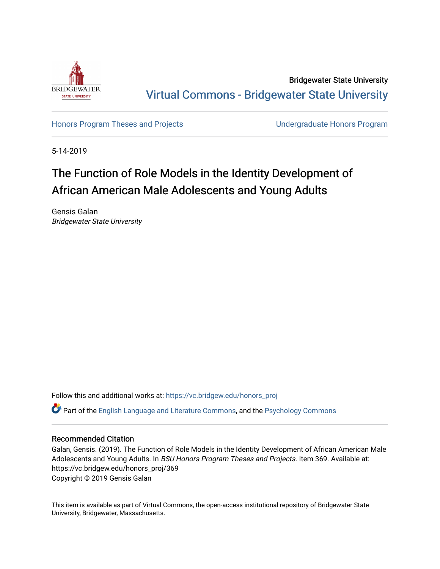

Bridgewater State University [Virtual Commons - Bridgewater State University](https://vc.bridgew.edu/) 

[Honors Program Theses and Projects](https://vc.bridgew.edu/honors_proj) [Undergraduate Honors Program](https://vc.bridgew.edu/honors) 

5-14-2019

# The Function of Role Models in the Identity Development of African American Male Adolescents and Young Adults

Gensis Galan Bridgewater State University

Follow this and additional works at: [https://vc.bridgew.edu/honors\\_proj](https://vc.bridgew.edu/honors_proj?utm_source=vc.bridgew.edu%2Fhonors_proj%2F369&utm_medium=PDF&utm_campaign=PDFCoverPages)

Part of the [English Language and Literature Commons](http://network.bepress.com/hgg/discipline/455?utm_source=vc.bridgew.edu%2Fhonors_proj%2F369&utm_medium=PDF&utm_campaign=PDFCoverPages), and the [Psychology Commons](http://network.bepress.com/hgg/discipline/404?utm_source=vc.bridgew.edu%2Fhonors_proj%2F369&utm_medium=PDF&utm_campaign=PDFCoverPages) 

### Recommended Citation

Galan, Gensis. (2019). The Function of Role Models in the Identity Development of African American Male Adolescents and Young Adults. In BSU Honors Program Theses and Projects. Item 369. Available at: https://vc.bridgew.edu/honors\_proj/369 Copyright © 2019 Gensis Galan

This item is available as part of Virtual Commons, the open-access institutional repository of Bridgewater State University, Bridgewater, Massachusetts.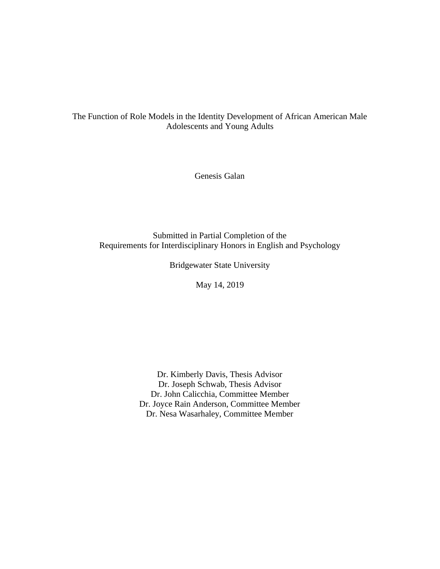# The Function of Role Models in the Identity Development of African American Male Adolescents and Young Adults

Genesis Galan

Submitted in Partial Completion of the Requirements for Interdisciplinary Honors in English and Psychology

Bridgewater State University

May 14, 2019

Dr. Kimberly Davis, Thesis Advisor Dr. Joseph Schwab, Thesis Advisor Dr. John Calicchia, Committee Member Dr. Joyce Rain Anderson, Committee Member Dr. Nesa Wasarhaley, Committee Member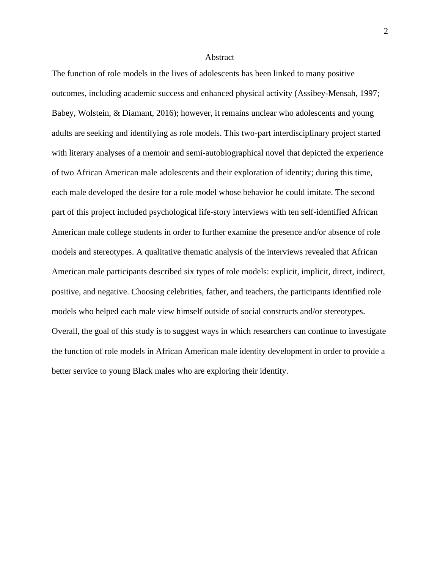#### Abstract

The function of role models in the lives of adolescents has been linked to many positive outcomes, including academic success and enhanced physical activity (Assibey-Mensah, 1997; Babey, Wolstein, & Diamant, 2016); however, it remains unclear who adolescents and young adults are seeking and identifying as role models. This two-part interdisciplinary project started with literary analyses of a memoir and semi-autobiographical novel that depicted the experience of two African American male adolescents and their exploration of identity; during this time, each male developed the desire for a role model whose behavior he could imitate. The second part of this project included psychological life-story interviews with ten self-identified African American male college students in order to further examine the presence and/or absence of role models and stereotypes. A qualitative thematic analysis of the interviews revealed that African American male participants described six types of role models: explicit, implicit, direct, indirect, positive, and negative. Choosing celebrities, father, and teachers, the participants identified role models who helped each male view himself outside of social constructs and/or stereotypes. Overall, the goal of this study is to suggest ways in which researchers can continue to investigate the function of role models in African American male identity development in order to provide a better service to young Black males who are exploring their identity.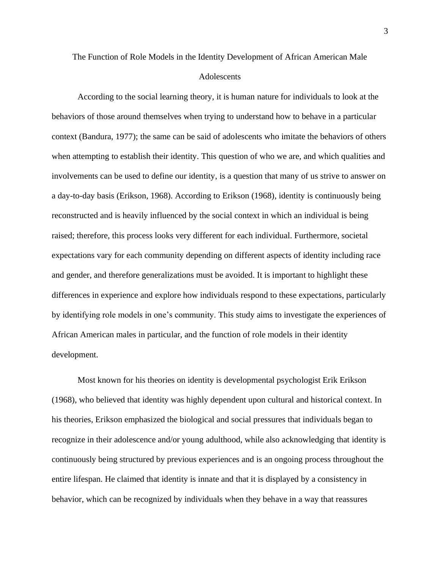# The Function of Role Models in the Identity Development of African American Male **Adolescents**

According to the social learning theory, it is human nature for individuals to look at the behaviors of those around themselves when trying to understand how to behave in a particular context (Bandura, 1977); the same can be said of adolescents who imitate the behaviors of others when attempting to establish their identity. This question of who we are, and which qualities and involvements can be used to define our identity, is a question that many of us strive to answer on a day-to-day basis (Erikson, 1968). According to Erikson (1968), identity is continuously being reconstructed and is heavily influenced by the social context in which an individual is being raised; therefore, this process looks very different for each individual. Furthermore, societal expectations vary for each community depending on different aspects of identity including race and gender, and therefore generalizations must be avoided. It is important to highlight these differences in experience and explore how individuals respond to these expectations, particularly by identifying role models in one's community. This study aims to investigate the experiences of African American males in particular, and the function of role models in their identity development.

Most known for his theories on identity is developmental psychologist Erik Erikson (1968), who believed that identity was highly dependent upon cultural and historical context. In his theories, Erikson emphasized the biological and social pressures that individuals began to recognize in their adolescence and/or young adulthood, while also acknowledging that identity is continuously being structured by previous experiences and is an ongoing process throughout the entire lifespan. He claimed that identity is innate and that it is displayed by a consistency in behavior, which can be recognized by individuals when they behave in a way that reassures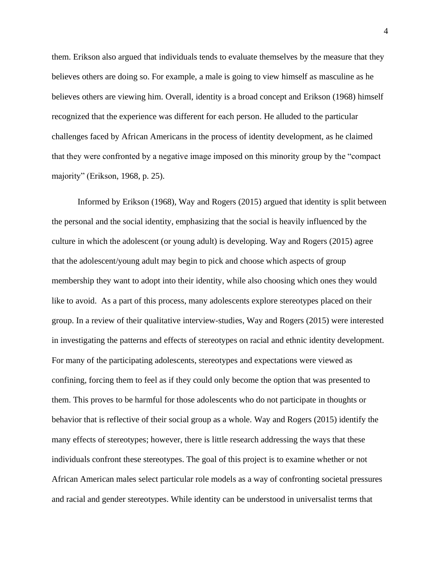them. Erikson also argued that individuals tends to evaluate themselves by the measure that they believes others are doing so. For example, a male is going to view himself as masculine as he believes others are viewing him. Overall, identity is a broad concept and Erikson (1968) himself recognized that the experience was different for each person. He alluded to the particular challenges faced by African Americans in the process of identity development, as he claimed that they were confronted by a negative image imposed on this minority group by the "compact majority" (Erikson, 1968, p. 25).

Informed by Erikson (1968), Way and Rogers (2015) argued that identity is split between the personal and the social identity, emphasizing that the social is heavily influenced by the culture in which the adolescent (or young adult) is developing. Way and Rogers (2015) agree that the adolescent/young adult may begin to pick and choose which aspects of group membership they want to adopt into their identity, while also choosing which ones they would like to avoid. As a part of this process, many adolescents explore stereotypes placed on their group. In a review of their qualitative interview-studies, Way and Rogers (2015) were interested in investigating the patterns and effects of stereotypes on racial and ethnic identity development. For many of the participating adolescents, stereotypes and expectations were viewed as confining, forcing them to feel as if they could only become the option that was presented to them. This proves to be harmful for those adolescents who do not participate in thoughts or behavior that is reflective of their social group as a whole. Way and Rogers (2015) identify the many effects of stereotypes; however, there is little research addressing the ways that these individuals confront these stereotypes. The goal of this project is to examine whether or not African American males select particular role models as a way of confronting societal pressures and racial and gender stereotypes. While identity can be understood in universalist terms that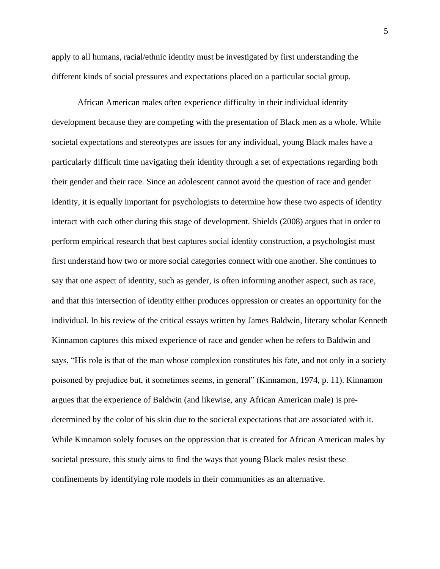apply to all humans, racial/ethnic identity must be investigated by first understanding the different kinds of social pressures and expectations placed on a particular social group.

African American males often experience difficulty in their individual identity development because they are competing with the presentation of Black men as a whole. While societal expectations and stereotypes are issues for any individual, young Black males have a particularly difficult time navigating their identity through a set of expectations regarding both their gender and their race. Since an adolescent cannot avoid the question of race and gender identity, it is equally important for psychologists to determine how these two aspects of identity interact with each other during this stage of development. Shields (2008) argues that in order to perform empirical research that best captures social identity construction, a psychologist must first understand how two or more social categories connect with one another. She continues to say that one aspect of identity, such as gender, is often informing another aspect, such as race, and that this intersection of identity either produces oppression or creates an opportunity for the individual. In his review of the critical essays written by James Baldwin, literary scholar Kenneth Kinnamon captures this mixed experience of race and gender when he refers to Baldwin and says, "His role is that of the man whose complexion constitutes his fate, and not only in a society poisoned by prejudice but, it sometimes seems, in general" (Kinnamon, 1974, p. 11). Kinnamon argues that the experience of Baldwin (and likewise, any African American male) is predetermined by the color of his skin due to the societal expectations that are associated with it. While Kinnamon solely focuses on the oppression that is created for African American males by societal pressure, this study aims to find the ways that young Black males resist these confinements by identifying role models in their communities as an alternative.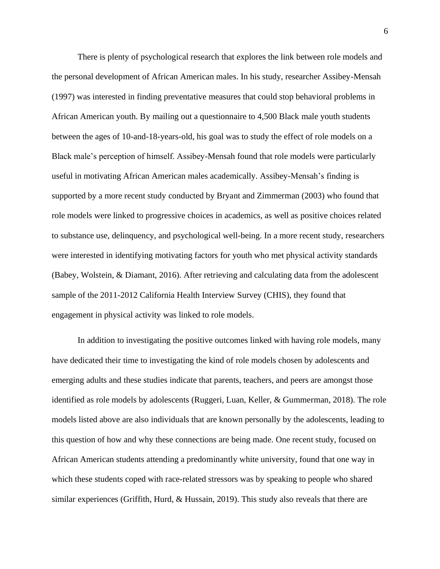There is plenty of psychological research that explores the link between role models and the personal development of African American males. In his study, researcher Assibey-Mensah (1997) was interested in finding preventative measures that could stop behavioral problems in African American youth. By mailing out a questionnaire to 4,500 Black male youth students between the ages of 10-and-18-years-old, his goal was to study the effect of role models on a Black male's perception of himself. Assibey-Mensah found that role models were particularly useful in motivating African American males academically. Assibey-Mensah's finding is supported by a more recent study conducted by Bryant and Zimmerman (2003) who found that role models were linked to progressive choices in academics, as well as positive choices related to substance use, delinquency, and psychological well-being. In a more recent study, researchers were interested in identifying motivating factors for youth who met physical activity standards (Babey, Wolstein, & Diamant, 2016). After retrieving and calculating data from the adolescent sample of the 2011-2012 California Health Interview Survey (CHIS), they found that engagement in physical activity was linked to role models.

In addition to investigating the positive outcomes linked with having role models, many have dedicated their time to investigating the kind of role models chosen by adolescents and emerging adults and these studies indicate that parents, teachers, and peers are amongst those identified as role models by adolescents (Ruggeri, Luan, Keller, & Gummerman, 2018). The role models listed above are also individuals that are known personally by the adolescents, leading to this question of how and why these connections are being made. One recent study, focused on African American students attending a predominantly white university, found that one way in which these students coped with race-related stressors was by speaking to people who shared similar experiences (Griffith, Hurd, & Hussain, 2019). This study also reveals that there are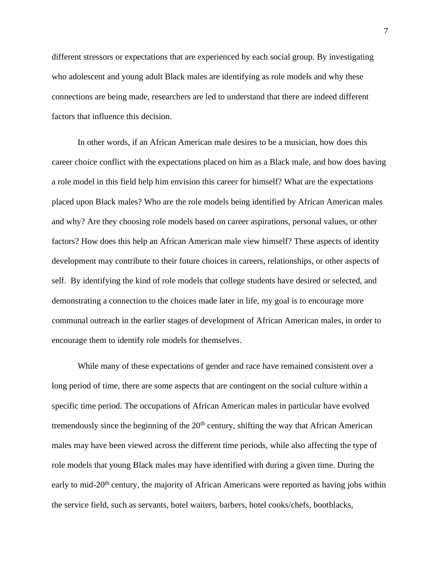different stressors or expectations that are experienced by each social group. By investigating who adolescent and young adult Black males are identifying as role models and why these connections are being made, researchers are led to understand that there are indeed different factors that influence this decision.

In other words, if an African American male desires to be a musician, how does this career choice conflict with the expectations placed on him as a Black male, and how does having a role model in this field help him envision this career for himself? What are the expectations placed upon Black males? Who are the role models being identified by African American males and why? Are they choosing role models based on career aspirations, personal values, or other factors? How does this help an African American male view himself? These aspects of identity development may contribute to their future choices in careers, relationships, or other aspects of self. By identifying the kind of role models that college students have desired or selected, and demonstrating a connection to the choices made later in life, my goal is to encourage more communal outreach in the earlier stages of development of African American males, in order to encourage them to identify role models for themselves.

While many of these expectations of gender and race have remained consistent over a long period of time, there are some aspects that are contingent on the social culture within a specific time period. The occupations of African American males in particular have evolved tremendously since the beginning of the  $20<sup>th</sup>$  century, shifting the way that African American males may have been viewed across the different time periods, while also affecting the type of role models that young Black males may have identified with during a given time. During the early to mid-20<sup>th</sup> century, the majority of African Americans were reported as having jobs within the service field, such as servants, hotel waiters, barbers, hotel cooks/chefs, bootblacks,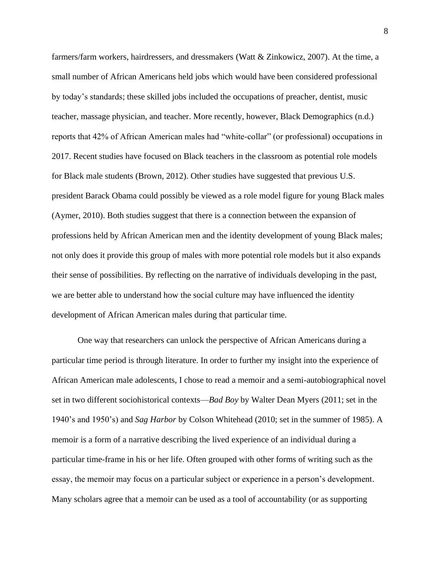farmers/farm workers, hairdressers, and dressmakers (Watt & Zinkowicz, 2007). At the time, a small number of African Americans held jobs which would have been considered professional by today's standards; these skilled jobs included the occupations of preacher, dentist, music teacher, massage physician, and teacher. More recently, however, Black Demographics (n.d.) reports that 42% of African American males had "white-collar" (or professional) occupations in 2017. Recent studies have focused on Black teachers in the classroom as potential role models for Black male students (Brown, 2012). Other studies have suggested that previous U.S. president Barack Obama could possibly be viewed as a role model figure for young Black males (Aymer, 2010). Both studies suggest that there is a connection between the expansion of professions held by African American men and the identity development of young Black males; not only does it provide this group of males with more potential role models but it also expands their sense of possibilities. By reflecting on the narrative of individuals developing in the past, we are better able to understand how the social culture may have influenced the identity development of African American males during that particular time.

One way that researchers can unlock the perspective of African Americans during a particular time period is through literature. In order to further my insight into the experience of African American male adolescents, I chose to read a memoir and a semi-autobiographical novel set in two different sociohistorical contexts—*Bad Boy* by Walter Dean Myers (2011; set in the 1940's and 1950's) and *Sag Harbor* by Colson Whitehead (2010; set in the summer of 1985). A memoir is a form of a narrative describing the lived experience of an individual during a particular time-frame in his or her life. Often grouped with other forms of writing such as the essay, the memoir may focus on a particular subject or experience in a person's development. Many scholars agree that a memoir can be used as a tool of accountability (or as supporting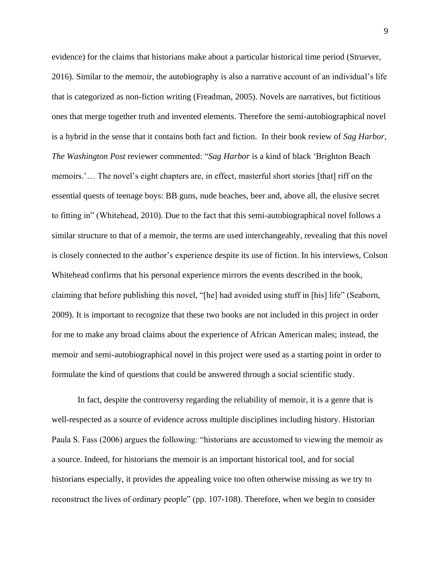evidence) for the claims that historians make about a particular historical time period (Struever, 2016). Similar to the memoir, the autobiography is also a narrative account of an individual's life that is categorized as non-fiction writing (Freadman, 2005). Novels are narratives, but fictitious ones that merge together truth and invented elements. Therefore the semi-autobiographical novel is a hybrid in the sense that it contains both fact and fiction. In their book review of *Sag Harbor*, *The Washington Post* reviewer commented: "*Sag Harbor* is a kind of black 'Brighton Beach memoirs.'… The novel's eight chapters are, in effect, masterful short stories [that] riff on the essential quests of teenage boys: BB guns, nude beaches, beer and, above all, the elusive secret to fitting in" (Whitehead, 2010). Due to the fact that this semi-autobiographical novel follows a similar structure to that of a memoir, the terms are used interchangeably, revealing that this novel is closely connected to the author's experience despite its use of fiction. In his interviews, Colson Whitehead confirms that his personal experience mirrors the events described in the book, claiming that before publishing this novel, "[he] had avoided using stuff in [his] life" (Seaborn, 2009). It is important to recognize that these two books are not included in this project in order for me to make any broad claims about the experience of African American males; instead, the memoir and semi-autobiographical novel in this project were used as a starting point in order to formulate the kind of questions that could be answered through a social scientific study.

In fact, despite the controversy regarding the reliability of memoir, it is a genre that is well-respected as a source of evidence across multiple disciplines including history. Historian Paula S. Fass (2006) argues the following: "historians are accustomed to viewing the memoir as a source. Indeed, for historians the memoir is an important historical tool, and for social historians especially, it provides the appealing voice too often otherwise missing as we try to reconstruct the lives of ordinary people" (pp. 107-108). Therefore, when we begin to consider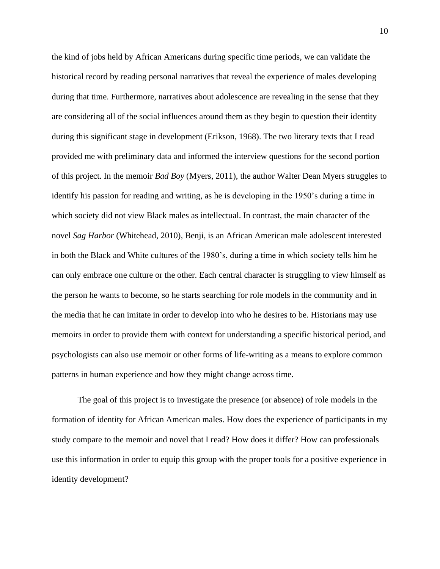the kind of jobs held by African Americans during specific time periods, we can validate the historical record by reading personal narratives that reveal the experience of males developing during that time. Furthermore, narratives about adolescence are revealing in the sense that they are considering all of the social influences around them as they begin to question their identity during this significant stage in development (Erikson, 1968). The two literary texts that I read provided me with preliminary data and informed the interview questions for the second portion of this project. In the memoir *Bad Boy* (Myers, 2011), the author Walter Dean Myers struggles to identify his passion for reading and writing, as he is developing in the 1950's during a time in which society did not view Black males as intellectual. In contrast, the main character of the novel *Sag Harbor* (Whitehead, 2010), Benji, is an African American male adolescent interested in both the Black and White cultures of the 1980's, during a time in which society tells him he can only embrace one culture or the other. Each central character is struggling to view himself as the person he wants to become, so he starts searching for role models in the community and in the media that he can imitate in order to develop into who he desires to be. Historians may use memoirs in order to provide them with context for understanding a specific historical period, and psychologists can also use memoir or other forms of life-writing as a means to explore common patterns in human experience and how they might change across time.

The goal of this project is to investigate the presence (or absence) of role models in the formation of identity for African American males. How does the experience of participants in my study compare to the memoir and novel that I read? How does it differ? How can professionals use this information in order to equip this group with the proper tools for a positive experience in identity development?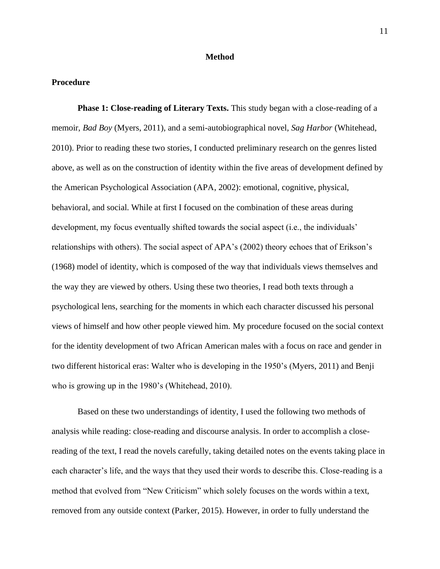#### **Method**

#### **Procedure**

**Phase 1: Close-reading of Literary Texts.** This study began with a close-reading of a memoir, *Bad Boy* (Myers, 2011), and a semi-autobiographical novel, *Sag Harbor* (Whitehead, 2010). Prior to reading these two stories, I conducted preliminary research on the genres listed above, as well as on the construction of identity within the five areas of development defined by the American Psychological Association (APA, 2002): emotional, cognitive, physical, behavioral, and social. While at first I focused on the combination of these areas during development, my focus eventually shifted towards the social aspect (i.e., the individuals' relationships with others). The social aspect of APA's (2002) theory echoes that of Erikson's (1968) model of identity, which is composed of the way that individuals views themselves and the way they are viewed by others. Using these two theories, I read both texts through a psychological lens, searching for the moments in which each character discussed his personal views of himself and how other people viewed him. My procedure focused on the social context for the identity development of two African American males with a focus on race and gender in two different historical eras: Walter who is developing in the 1950's (Myers, 2011) and Benji who is growing up in the 1980's (Whitehead, 2010).

Based on these two understandings of identity, I used the following two methods of analysis while reading: close-reading and discourse analysis. In order to accomplish a closereading of the text, I read the novels carefully, taking detailed notes on the events taking place in each character's life, and the ways that they used their words to describe this. Close-reading is a method that evolved from "New Criticism" which solely focuses on the words within a text, removed from any outside context (Parker, 2015). However, in order to fully understand the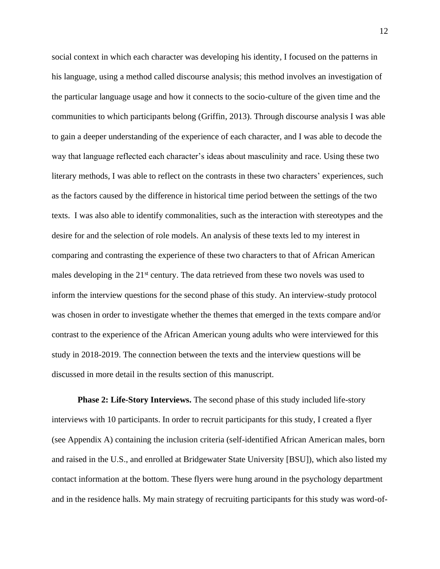social context in which each character was developing his identity, I focused on the patterns in his language, using a method called discourse analysis; this method involves an investigation of the particular language usage and how it connects to the socio-culture of the given time and the communities to which participants belong (Griffin, 2013). Through discourse analysis I was able to gain a deeper understanding of the experience of each character, and I was able to decode the way that language reflected each character's ideas about masculinity and race. Using these two literary methods, I was able to reflect on the contrasts in these two characters' experiences, such as the factors caused by the difference in historical time period between the settings of the two texts. I was also able to identify commonalities, such as the interaction with stereotypes and the desire for and the selection of role models. An analysis of these texts led to my interest in comparing and contrasting the experience of these two characters to that of African American males developing in the  $21<sup>st</sup>$  century. The data retrieved from these two novels was used to inform the interview questions for the second phase of this study. An interview-study protocol was chosen in order to investigate whether the themes that emerged in the texts compare and/or contrast to the experience of the African American young adults who were interviewed for this study in 2018-2019. The connection between the texts and the interview questions will be discussed in more detail in the results section of this manuscript.

**Phase 2: Life-Story Interviews.** The second phase of this study included life-story interviews with 10 participants. In order to recruit participants for this study, I created a flyer (see Appendix A) containing the inclusion criteria (self-identified African American males, born and raised in the U.S., and enrolled at Bridgewater State University [BSU]), which also listed my contact information at the bottom. These flyers were hung around in the psychology department and in the residence halls. My main strategy of recruiting participants for this study was word-of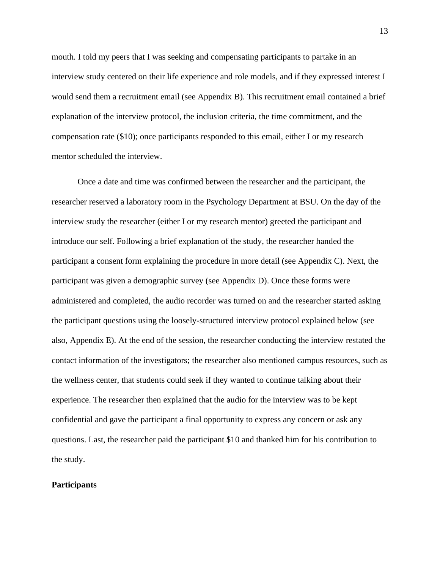mouth. I told my peers that I was seeking and compensating participants to partake in an interview study centered on their life experience and role models, and if they expressed interest I would send them a recruitment email (see Appendix B). This recruitment email contained a brief explanation of the interview protocol, the inclusion criteria, the time commitment, and the compensation rate (\$10); once participants responded to this email, either I or my research mentor scheduled the interview.

Once a date and time was confirmed between the researcher and the participant, the researcher reserved a laboratory room in the Psychology Department at BSU. On the day of the interview study the researcher (either I or my research mentor) greeted the participant and introduce our self. Following a brief explanation of the study, the researcher handed the participant a consent form explaining the procedure in more detail (see Appendix C). Next, the participant was given a demographic survey (see Appendix D). Once these forms were administered and completed, the audio recorder was turned on and the researcher started asking the participant questions using the loosely-structured interview protocol explained below (see also, Appendix E). At the end of the session, the researcher conducting the interview restated the contact information of the investigators; the researcher also mentioned campus resources, such as the wellness center, that students could seek if they wanted to continue talking about their experience. The researcher then explained that the audio for the interview was to be kept confidential and gave the participant a final opportunity to express any concern or ask any questions. Last, the researcher paid the participant \$10 and thanked him for his contribution to the study.

#### **Participants**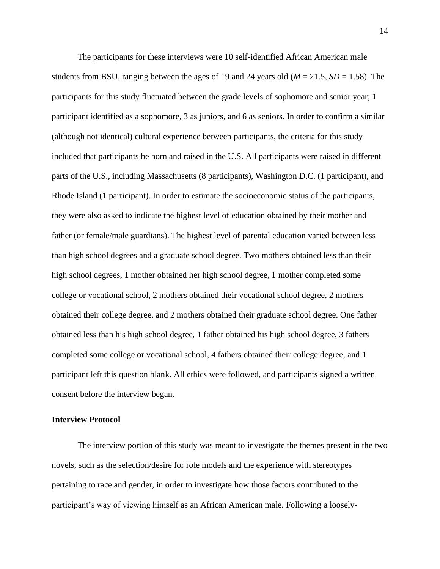The participants for these interviews were 10 self-identified African American male students from BSU, ranging between the ages of 19 and 24 years old ( $M = 21.5$ ,  $SD = 1.58$ ). The participants for this study fluctuated between the grade levels of sophomore and senior year; 1 participant identified as a sophomore, 3 as juniors, and 6 as seniors. In order to confirm a similar (although not identical) cultural experience between participants, the criteria for this study included that participants be born and raised in the U.S. All participants were raised in different parts of the U.S., including Massachusetts (8 participants), Washington D.C. (1 participant), and Rhode Island (1 participant). In order to estimate the socioeconomic status of the participants, they were also asked to indicate the highest level of education obtained by their mother and father (or female/male guardians). The highest level of parental education varied between less than high school degrees and a graduate school degree. Two mothers obtained less than their high school degrees, 1 mother obtained her high school degree, 1 mother completed some college or vocational school, 2 mothers obtained their vocational school degree, 2 mothers obtained their college degree, and 2 mothers obtained their graduate school degree. One father obtained less than his high school degree, 1 father obtained his high school degree, 3 fathers completed some college or vocational school, 4 fathers obtained their college degree, and 1 participant left this question blank. All ethics were followed, and participants signed a written consent before the interview began.

#### **Interview Protocol**

The interview portion of this study was meant to investigate the themes present in the two novels, such as the selection/desire for role models and the experience with stereotypes pertaining to race and gender, in order to investigate how those factors contributed to the participant's way of viewing himself as an African American male. Following a loosely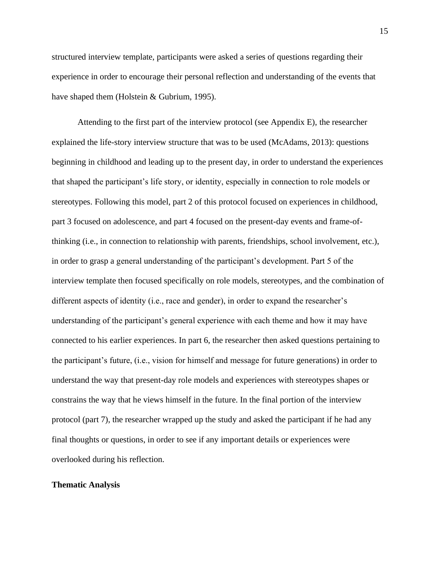structured interview template, participants were asked a series of questions regarding their experience in order to encourage their personal reflection and understanding of the events that have shaped them (Holstein & Gubrium, 1995).

Attending to the first part of the interview protocol (see Appendix E), the researcher explained the life-story interview structure that was to be used (McAdams, 2013): questions beginning in childhood and leading up to the present day, in order to understand the experiences that shaped the participant's life story, or identity, especially in connection to role models or stereotypes. Following this model, part 2 of this protocol focused on experiences in childhood, part 3 focused on adolescence, and part 4 focused on the present-day events and frame-ofthinking (i.e., in connection to relationship with parents, friendships, school involvement, etc.), in order to grasp a general understanding of the participant's development. Part 5 of the interview template then focused specifically on role models, stereotypes, and the combination of different aspects of identity (i.e., race and gender), in order to expand the researcher's understanding of the participant's general experience with each theme and how it may have connected to his earlier experiences. In part 6, the researcher then asked questions pertaining to the participant's future, (i.e., vision for himself and message for future generations) in order to understand the way that present-day role models and experiences with stereotypes shapes or constrains the way that he views himself in the future. In the final portion of the interview protocol (part 7), the researcher wrapped up the study and asked the participant if he had any final thoughts or questions, in order to see if any important details or experiences were overlooked during his reflection.

### **Thematic Analysis**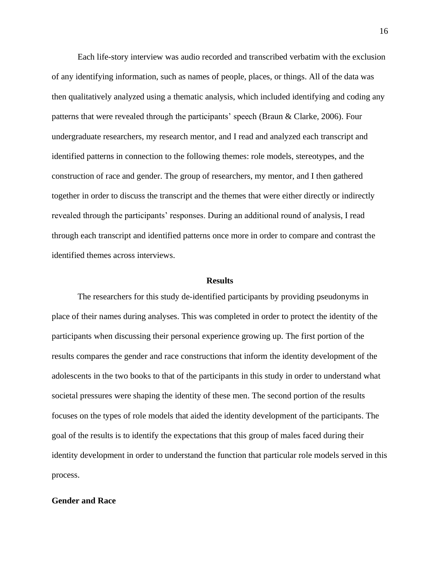Each life-story interview was audio recorded and transcribed verbatim with the exclusion of any identifying information, such as names of people, places, or things. All of the data was then qualitatively analyzed using a thematic analysis, which included identifying and coding any patterns that were revealed through the participants' speech (Braun & Clarke, 2006). Four undergraduate researchers, my research mentor, and I read and analyzed each transcript and identified patterns in connection to the following themes: role models, stereotypes, and the construction of race and gender. The group of researchers, my mentor, and I then gathered together in order to discuss the transcript and the themes that were either directly or indirectly revealed through the participants' responses. During an additional round of analysis, I read through each transcript and identified patterns once more in order to compare and contrast the identified themes across interviews.

#### **Results**

The researchers for this study de-identified participants by providing pseudonyms in place of their names during analyses. This was completed in order to protect the identity of the participants when discussing their personal experience growing up. The first portion of the results compares the gender and race constructions that inform the identity development of the adolescents in the two books to that of the participants in this study in order to understand what societal pressures were shaping the identity of these men. The second portion of the results focuses on the types of role models that aided the identity development of the participants. The goal of the results is to identify the expectations that this group of males faced during their identity development in order to understand the function that particular role models served in this process.

#### **Gender and Race**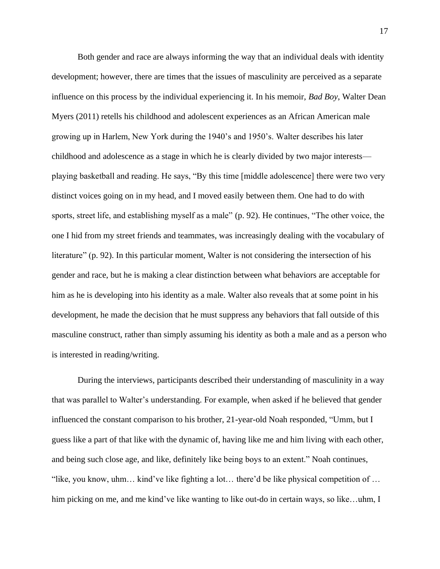Both gender and race are always informing the way that an individual deals with identity development; however, there are times that the issues of masculinity are perceived as a separate influence on this process by the individual experiencing it. In his memoir, *Bad Boy*, Walter Dean Myers (2011) retells his childhood and adolescent experiences as an African American male growing up in Harlem, New York during the 1940's and 1950's. Walter describes his later childhood and adolescence as a stage in which he is clearly divided by two major interests playing basketball and reading. He says, "By this time [middle adolescence] there were two very distinct voices going on in my head, and I moved easily between them. One had to do with sports, street life, and establishing myself as a male" (p. 92). He continues, "The other voice, the one I hid from my street friends and teammates, was increasingly dealing with the vocabulary of literature" (p. 92). In this particular moment, Walter is not considering the intersection of his gender and race, but he is making a clear distinction between what behaviors are acceptable for him as he is developing into his identity as a male. Walter also reveals that at some point in his development, he made the decision that he must suppress any behaviors that fall outside of this masculine construct, rather than simply assuming his identity as both a male and as a person who is interested in reading/writing.

During the interviews, participants described their understanding of masculinity in a way that was parallel to Walter's understanding. For example, when asked if he believed that gender influenced the constant comparison to his brother, 21-year-old Noah responded, "Umm, but I guess like a part of that like with the dynamic of, having like me and him living with each other, and being such close age, and like, definitely like being boys to an extent." Noah continues, "like, you know, uhm... kind've like fighting a lot... there'd be like physical competition of ... him picking on me, and me kind've like wanting to like out-do in certain ways, so like...uhm, I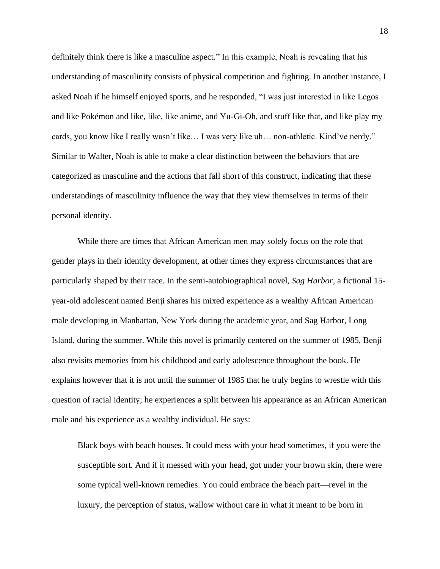definitely think there is like a masculine aspect." In this example, Noah is revealing that his understanding of masculinity consists of physical competition and fighting. In another instance, I asked Noah if he himself enjoyed sports, and he responded, "I was just interested in like Legos and like Pokémon and like, like, like anime, and Yu-Gi-Oh, and stuff like that, and like play my cards, you know like I really wasn't like… I was very like uh… non-athletic. Kind've nerdy." Similar to Walter, Noah is able to make a clear distinction between the behaviors that are categorized as masculine and the actions that fall short of this construct, indicating that these understandings of masculinity influence the way that they view themselves in terms of their personal identity.

While there are times that African American men may solely focus on the role that gender plays in their identity development, at other times they express circumstances that are particularly shaped by their race. In the semi-autobiographical novel, *Sag Harbor,* a fictional 15 year-old adolescent named Benji shares his mixed experience as a wealthy African American male developing in Manhattan, New York during the academic year, and Sag Harbor, Long Island, during the summer. While this novel is primarily centered on the summer of 1985, Benji also revisits memories from his childhood and early adolescence throughout the book. He explains however that it is not until the summer of 1985 that he truly begins to wrestle with this question of racial identity; he experiences a split between his appearance as an African American male and his experience as a wealthy individual. He says:

 Black boys with beach houses. It could mess with your head sometimes, if you were the susceptible sort. And if it messed with your head, got under your brown skin, there were some typical well-known remedies. You could embrace the beach part—revel in the luxury, the perception of status, wallow without care in what it meant to be born in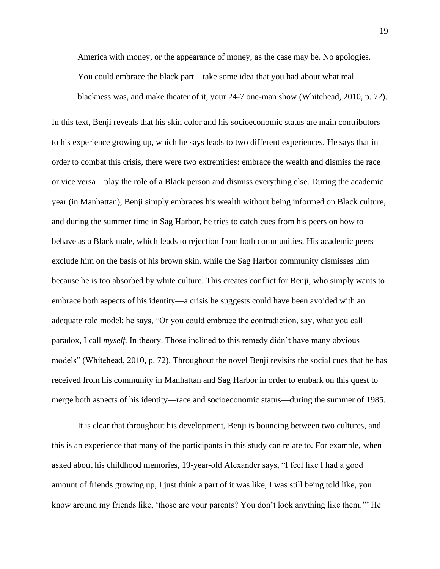America with money, or the appearance of money, as the case may be. No apologies. You could embrace the black part—take some idea that you had about what real blackness was, and make theater of it, your 24-7 one-man show (Whitehead, 2010, p. 72).

In this text, Benji reveals that his skin color and his socioeconomic status are main contributors to his experience growing up, which he says leads to two different experiences. He says that in order to combat this crisis, there were two extremities: embrace the wealth and dismiss the race or vice versa—play the role of a Black person and dismiss everything else. During the academic year (in Manhattan), Benji simply embraces his wealth without being informed on Black culture, and during the summer time in Sag Harbor, he tries to catch cues from his peers on how to behave as a Black male, which leads to rejection from both communities. His academic peers exclude him on the basis of his brown skin, while the Sag Harbor community dismisses him because he is too absorbed by white culture. This creates conflict for Benji, who simply wants to embrace both aspects of his identity—a crisis he suggests could have been avoided with an adequate role model; he says, "Or you could embrace the contradiction, say, what you call paradox, I call *myself.* In theory. Those inclined to this remedy didn't have many obvious models" (Whitehead, 2010, p. 72). Throughout the novel Benji revisits the social cues that he has received from his community in Manhattan and Sag Harbor in order to embark on this quest to merge both aspects of his identity—race and socioeconomic status—during the summer of 1985.

It is clear that throughout his development, Benji is bouncing between two cultures, and this is an experience that many of the participants in this study can relate to. For example, when asked about his childhood memories, 19-year-old Alexander says, "I feel like I had a good amount of friends growing up, I just think a part of it was like, I was still being told like, you know around my friends like, 'those are your parents? You don't look anything like them.'" He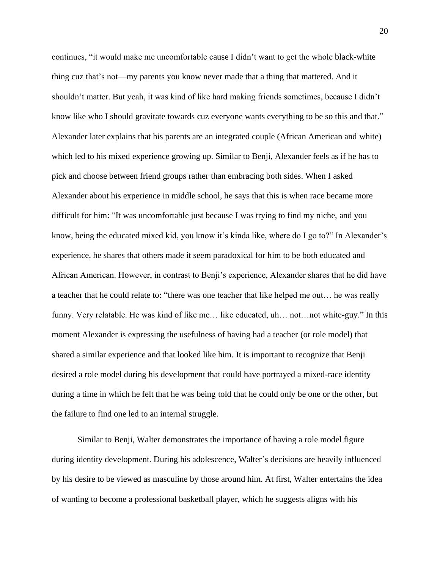continues, "it would make me uncomfortable cause I didn't want to get the whole black-white thing cuz that's not—my parents you know never made that a thing that mattered. And it shouldn't matter. But yeah, it was kind of like hard making friends sometimes, because I didn't know like who I should gravitate towards cuz everyone wants everything to be so this and that." Alexander later explains that his parents are an integrated couple (African American and white) which led to his mixed experience growing up. Similar to Benji, Alexander feels as if he has to pick and choose between friend groups rather than embracing both sides. When I asked Alexander about his experience in middle school, he says that this is when race became more difficult for him: "It was uncomfortable just because I was trying to find my niche, and you know, being the educated mixed kid, you know it's kinda like, where do I go to?" In Alexander's experience, he shares that others made it seem paradoxical for him to be both educated and African American. However, in contrast to Benji's experience, Alexander shares that he did have a teacher that he could relate to: "there was one teacher that like helped me out… he was really funny. Very relatable. He was kind of like me… like educated, uh… not…not white-guy." In this moment Alexander is expressing the usefulness of having had a teacher (or role model) that shared a similar experience and that looked like him. It is important to recognize that Benji desired a role model during his development that could have portrayed a mixed-race identity during a time in which he felt that he was being told that he could only be one or the other, but the failure to find one led to an internal struggle.

Similar to Benji, Walter demonstrates the importance of having a role model figure during identity development. During his adolescence, Walter's decisions are heavily influenced by his desire to be viewed as masculine by those around him. At first, Walter entertains the idea of wanting to become a professional basketball player, which he suggests aligns with his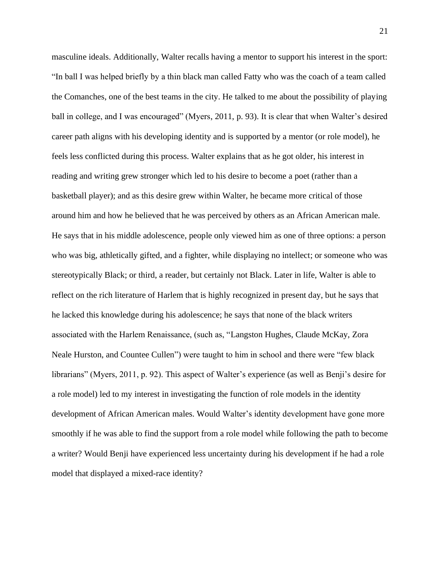masculine ideals. Additionally, Walter recalls having a mentor to support his interest in the sport: "In ball I was helped briefly by a thin black man called Fatty who was the coach of a team called the Comanches, one of the best teams in the city. He talked to me about the possibility of playing ball in college, and I was encouraged" (Myers, 2011, p. 93). It is clear that when Walter's desired career path aligns with his developing identity and is supported by a mentor (or role model), he feels less conflicted during this process. Walter explains that as he got older, his interest in reading and writing grew stronger which led to his desire to become a poet (rather than a basketball player); and as this desire grew within Walter, he became more critical of those around him and how he believed that he was perceived by others as an African American male. He says that in his middle adolescence, people only viewed him as one of three options: a person who was big, athletically gifted, and a fighter, while displaying no intellect; or someone who was stereotypically Black; or third, a reader, but certainly not Black. Later in life, Walter is able to reflect on the rich literature of Harlem that is highly recognized in present day, but he says that he lacked this knowledge during his adolescence; he says that none of the black writers associated with the Harlem Renaissance, (such as, "Langston Hughes, Claude McKay, Zora Neale Hurston, and Countee Cullen") were taught to him in school and there were "few black librarians" (Myers, 2011, p. 92). This aspect of Walter's experience (as well as Benji's desire for a role model) led to my interest in investigating the function of role models in the identity development of African American males. Would Walter's identity development have gone more smoothly if he was able to find the support from a role model while following the path to become a writer? Would Benji have experienced less uncertainty during his development if he had a role model that displayed a mixed-race identity?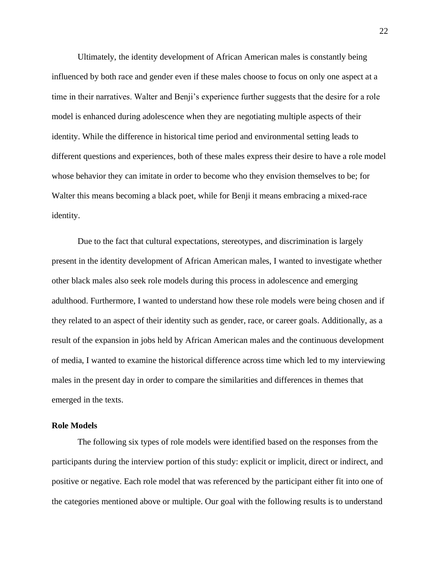Ultimately, the identity development of African American males is constantly being influenced by both race and gender even if these males choose to focus on only one aspect at a time in their narratives. Walter and Benji's experience further suggests that the desire for a role model is enhanced during adolescence when they are negotiating multiple aspects of their identity. While the difference in historical time period and environmental setting leads to different questions and experiences, both of these males express their desire to have a role model whose behavior they can imitate in order to become who they envision themselves to be; for Walter this means becoming a black poet, while for Benji it means embracing a mixed-race identity.

Due to the fact that cultural expectations, stereotypes, and discrimination is largely present in the identity development of African American males, I wanted to investigate whether other black males also seek role models during this process in adolescence and emerging adulthood. Furthermore, I wanted to understand how these role models were being chosen and if they related to an aspect of their identity such as gender, race, or career goals. Additionally, as a result of the expansion in jobs held by African American males and the continuous development of media, I wanted to examine the historical difference across time which led to my interviewing males in the present day in order to compare the similarities and differences in themes that emerged in the texts.

#### **Role Models**

The following six types of role models were identified based on the responses from the participants during the interview portion of this study: explicit or implicit, direct or indirect, and positive or negative. Each role model that was referenced by the participant either fit into one of the categories mentioned above or multiple. Our goal with the following results is to understand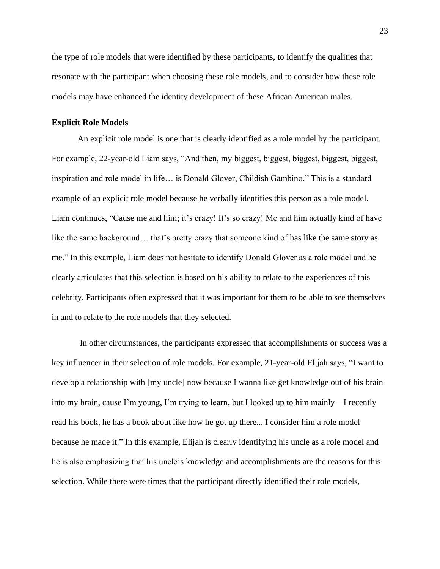the type of role models that were identified by these participants, to identify the qualities that resonate with the participant when choosing these role models, and to consider how these role models may have enhanced the identity development of these African American males.

#### **Explicit Role Models**

An explicit role model is one that is clearly identified as a role model by the participant. For example, 22-year-old Liam says, "And then, my biggest, biggest, biggest, biggest, biggest, inspiration and role model in life… is Donald Glover, Childish Gambino." This is a standard example of an explicit role model because he verbally identifies this person as a role model. Liam continues, "Cause me and him; it's crazy! It's so crazy! Me and him actually kind of have like the same background... that's pretty crazy that someone kind of has like the same story as me." In this example, Liam does not hesitate to identify Donald Glover as a role model and he clearly articulates that this selection is based on his ability to relate to the experiences of this celebrity. Participants often expressed that it was important for them to be able to see themselves in and to relate to the role models that they selected.

In other circumstances, the participants expressed that accomplishments or success was a key influencer in their selection of role models. For example, 21-year-old Elijah says, "I want to develop a relationship with [my uncle] now because I wanna like get knowledge out of his brain into my brain, cause I'm young, I'm trying to learn, but I looked up to him mainly—I recently read his book, he has a book about like how he got up there... I consider him a role model because he made it." In this example, Elijah is clearly identifying his uncle as a role model and he is also emphasizing that his uncle's knowledge and accomplishments are the reasons for this selection. While there were times that the participant directly identified their role models,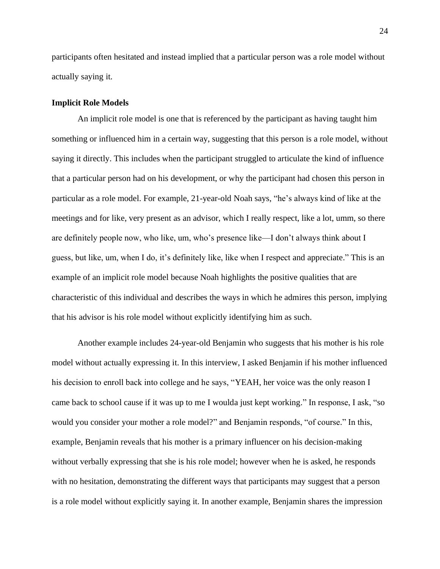participants often hesitated and instead implied that a particular person was a role model without actually saying it.

## **Implicit Role Models**

An implicit role model is one that is referenced by the participant as having taught him something or influenced him in a certain way, suggesting that this person is a role model, without saying it directly. This includes when the participant struggled to articulate the kind of influence that a particular person had on his development, or why the participant had chosen this person in particular as a role model. For example, 21-year-old Noah says, "he's always kind of like at the meetings and for like, very present as an advisor, which I really respect, like a lot, umm, so there are definitely people now, who like, um, who's presence like—I don't always think about I guess, but like, um, when I do, it's definitely like, like when I respect and appreciate." This is an example of an implicit role model because Noah highlights the positive qualities that are characteristic of this individual and describes the ways in which he admires this person, implying that his advisor is his role model without explicitly identifying him as such.

Another example includes 24-year-old Benjamin who suggests that his mother is his role model without actually expressing it. In this interview, I asked Benjamin if his mother influenced his decision to enroll back into college and he says, "YEAH, her voice was the only reason I came back to school cause if it was up to me I woulda just kept working." In response, I ask, "so would you consider your mother a role model?" and Benjamin responds, "of course." In this, example, Benjamin reveals that his mother is a primary influencer on his decision-making without verbally expressing that she is his role model; however when he is asked, he responds with no hesitation, demonstrating the different ways that participants may suggest that a person is a role model without explicitly saying it. In another example, Benjamin shares the impression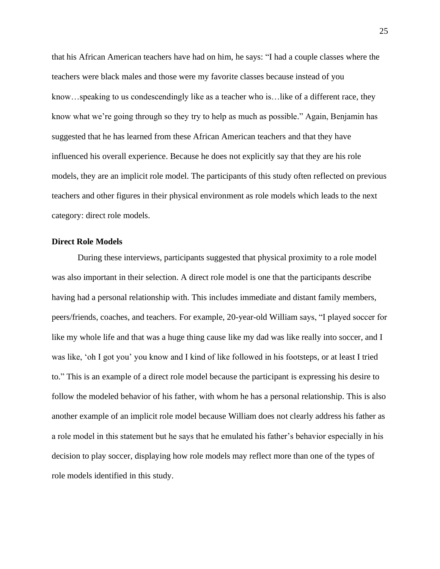that his African American teachers have had on him, he says: "I had a couple classes where the teachers were black males and those were my favorite classes because instead of you know…speaking to us condescendingly like as a teacher who is…like of a different race, they know what we're going through so they try to help as much as possible." Again, Benjamin has suggested that he has learned from these African American teachers and that they have influenced his overall experience. Because he does not explicitly say that they are his role models, they are an implicit role model. The participants of this study often reflected on previous teachers and other figures in their physical environment as role models which leads to the next category: direct role models.

### **Direct Role Models**

During these interviews, participants suggested that physical proximity to a role model was also important in their selection. A direct role model is one that the participants describe having had a personal relationship with. This includes immediate and distant family members, peers/friends, coaches, and teachers. For example, 20-year-old William says, "I played soccer for like my whole life and that was a huge thing cause like my dad was like really into soccer, and I was like, 'oh I got you' you know and I kind of like followed in his footsteps, or at least I tried to." This is an example of a direct role model because the participant is expressing his desire to follow the modeled behavior of his father, with whom he has a personal relationship. This is also another example of an implicit role model because William does not clearly address his father as a role model in this statement but he says that he emulated his father's behavior especially in his decision to play soccer, displaying how role models may reflect more than one of the types of role models identified in this study.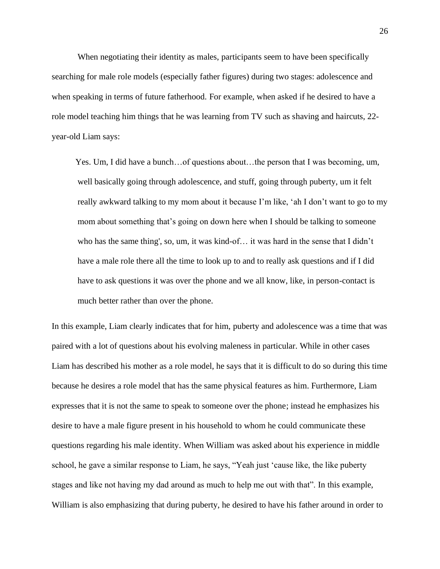When negotiating their identity as males, participants seem to have been specifically searching for male role models (especially father figures) during two stages: adolescence and when speaking in terms of future fatherhood. For example, when asked if he desired to have a role model teaching him things that he was learning from TV such as shaving and haircuts, 22 year-old Liam says:

 Yes. Um, I did have a bunch…of questions about…the person that I was becoming, um, well basically going through adolescence, and stuff, going through puberty, um it felt really awkward talking to my mom about it because I'm like, 'ah I don't want to go to my mom about something that's going on down here when I should be talking to someone who has the same thing', so, um, it was kind-of… it was hard in the sense that I didn't have a male role there all the time to look up to and to really ask questions and if I did have to ask questions it was over the phone and we all know, like, in person-contact is much better rather than over the phone.

In this example, Liam clearly indicates that for him, puberty and adolescence was a time that was paired with a lot of questions about his evolving maleness in particular. While in other cases Liam has described his mother as a role model, he says that it is difficult to do so during this time because he desires a role model that has the same physical features as him. Furthermore, Liam expresses that it is not the same to speak to someone over the phone; instead he emphasizes his desire to have a male figure present in his household to whom he could communicate these questions regarding his male identity. When William was asked about his experience in middle school, he gave a similar response to Liam, he says, "Yeah just 'cause like, the like puberty stages and like not having my dad around as much to help me out with that". In this example, William is also emphasizing that during puberty, he desired to have his father around in order to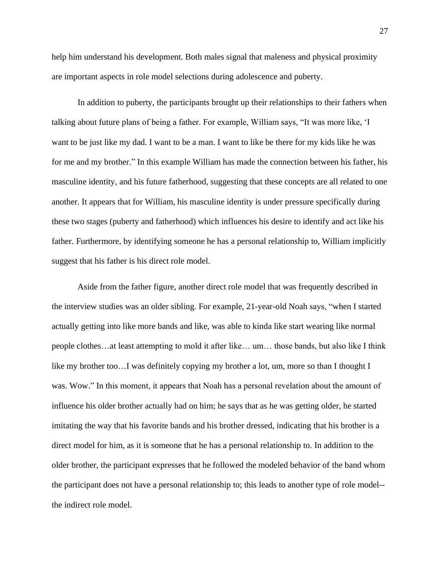help him understand his development. Both males signal that maleness and physical proximity are important aspects in role model selections during adolescence and puberty.

In addition to puberty, the participants brought up their relationships to their fathers when talking about future plans of being a father. For example, William says, "It was more like, 'I want to be just like my dad. I want to be a man. I want to like be there for my kids like he was for me and my brother." In this example William has made the connection between his father, his masculine identity, and his future fatherhood, suggesting that these concepts are all related to one another. It appears that for William, his masculine identity is under pressure specifically during these two stages (puberty and fatherhood) which influences his desire to identify and act like his father. Furthermore, by identifying someone he has a personal relationship to, William implicitly suggest that his father is his direct role model.

Aside from the father figure, another direct role model that was frequently described in the interview studies was an older sibling. For example, 21-year-old Noah says, "when I started actually getting into like more bands and like, was able to kinda like start wearing like normal people clothes…at least attempting to mold it after like… um… those bands, but also like I think like my brother too…I was definitely copying my brother a lot, um, more so than I thought I was. Wow." In this moment, it appears that Noah has a personal revelation about the amount of influence his older brother actually had on him; he says that as he was getting older, he started imitating the way that his favorite bands and his brother dressed, indicating that his brother is a direct model for him, as it is someone that he has a personal relationship to. In addition to the older brother, the participant expresses that he followed the modeled behavior of the band whom the participant does not have a personal relationship to; this leads to another type of role model- the indirect role model.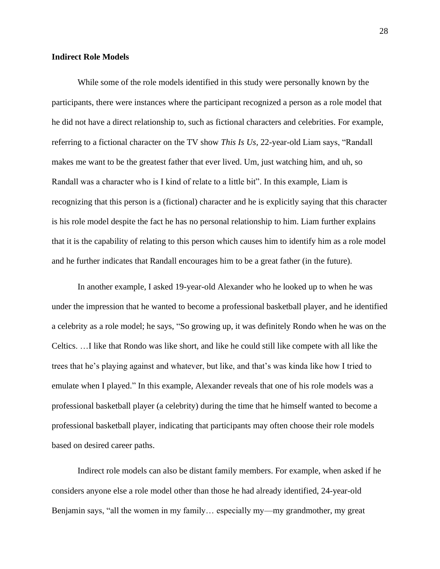#### **Indirect Role Models**

While some of the role models identified in this study were personally known by the participants, there were instances where the participant recognized a person as a role model that he did not have a direct relationship to, such as fictional characters and celebrities. For example, referring to a fictional character on the TV show *This Is Us,* 22-year-old Liam says, "Randall makes me want to be the greatest father that ever lived. Um, just watching him, and uh, so Randall was a character who is I kind of relate to a little bit". In this example, Liam is recognizing that this person is a (fictional) character and he is explicitly saying that this character is his role model despite the fact he has no personal relationship to him. Liam further explains that it is the capability of relating to this person which causes him to identify him as a role model and he further indicates that Randall encourages him to be a great father (in the future).

In another example, I asked 19-year-old Alexander who he looked up to when he was under the impression that he wanted to become a professional basketball player, and he identified a celebrity as a role model; he says, "So growing up, it was definitely Rondo when he was on the Celtics. …I like that Rondo was like short, and like he could still like compete with all like the trees that he's playing against and whatever, but like, and that's was kinda like how I tried to emulate when I played." In this example, Alexander reveals that one of his role models was a professional basketball player (a celebrity) during the time that he himself wanted to become a professional basketball player, indicating that participants may often choose their role models based on desired career paths.

Indirect role models can also be distant family members. For example, when asked if he considers anyone else a role model other than those he had already identified, 24-year-old Benjamin says, "all the women in my family… especially my—my grandmother, my great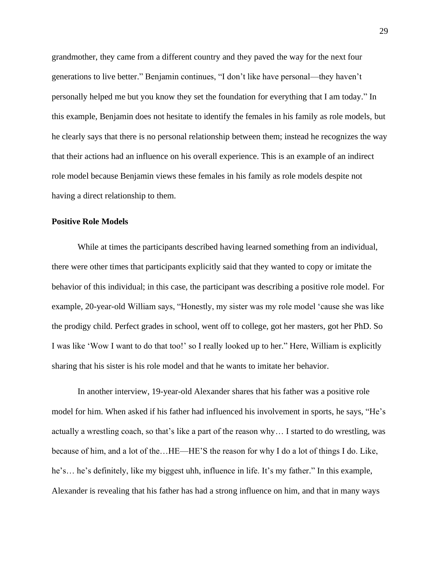grandmother, they came from a different country and they paved the way for the next four generations to live better." Benjamin continues, "I don't like have personal—they haven't personally helped me but you know they set the foundation for everything that I am today." In this example, Benjamin does not hesitate to identify the females in his family as role models, but he clearly says that there is no personal relationship between them; instead he recognizes the way that their actions had an influence on his overall experience. This is an example of an indirect role model because Benjamin views these females in his family as role models despite not having a direct relationship to them.

#### **Positive Role Models**

While at times the participants described having learned something from an individual, there were other times that participants explicitly said that they wanted to copy or imitate the behavior of this individual; in this case, the participant was describing a positive role model. For example, 20-year-old William says, "Honestly, my sister was my role model 'cause she was like the prodigy child. Perfect grades in school, went off to college, got her masters, got her PhD. So I was like 'Wow I want to do that too!' so I really looked up to her." Here, William is explicitly sharing that his sister is his role model and that he wants to imitate her behavior.

In another interview, 19-year-old Alexander shares that his father was a positive role model for him. When asked if his father had influenced his involvement in sports, he says, "He's actually a wrestling coach, so that's like a part of the reason why… I started to do wrestling, was because of him, and a lot of the…HE—HE'S the reason for why I do a lot of things I do. Like, he's… he's definitely, like my biggest uhh, influence in life. It's my father." In this example, Alexander is revealing that his father has had a strong influence on him, and that in many ways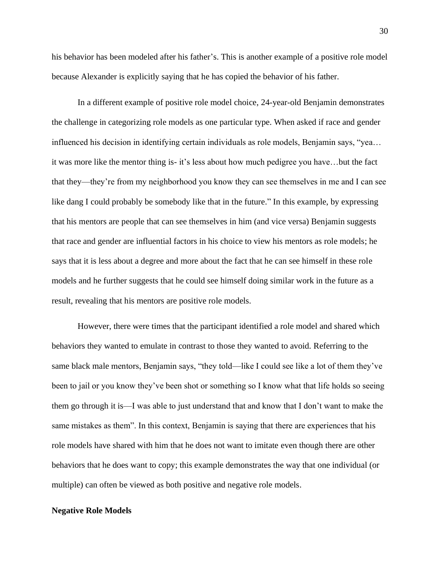his behavior has been modeled after his father's. This is another example of a positive role model because Alexander is explicitly saying that he has copied the behavior of his father.

In a different example of positive role model choice, 24-year-old Benjamin demonstrates the challenge in categorizing role models as one particular type. When asked if race and gender influenced his decision in identifying certain individuals as role models, Benjamin says, "yea… it was more like the mentor thing is- it's less about how much pedigree you have…but the fact that they—they're from my neighborhood you know they can see themselves in me and I can see like dang I could probably be somebody like that in the future." In this example, by expressing that his mentors are people that can see themselves in him (and vice versa) Benjamin suggests that race and gender are influential factors in his choice to view his mentors as role models; he says that it is less about a degree and more about the fact that he can see himself in these role models and he further suggests that he could see himself doing similar work in the future as a result, revealing that his mentors are positive role models.

However, there were times that the participant identified a role model and shared which behaviors they wanted to emulate in contrast to those they wanted to avoid. Referring to the same black male mentors, Benjamin says, "they told—like I could see like a lot of them they've been to jail or you know they've been shot or something so I know what that life holds so seeing them go through it is—I was able to just understand that and know that I don't want to make the same mistakes as them". In this context, Benjamin is saying that there are experiences that his role models have shared with him that he does not want to imitate even though there are other behaviors that he does want to copy; this example demonstrates the way that one individual (or multiple) can often be viewed as both positive and negative role models.

#### **Negative Role Models**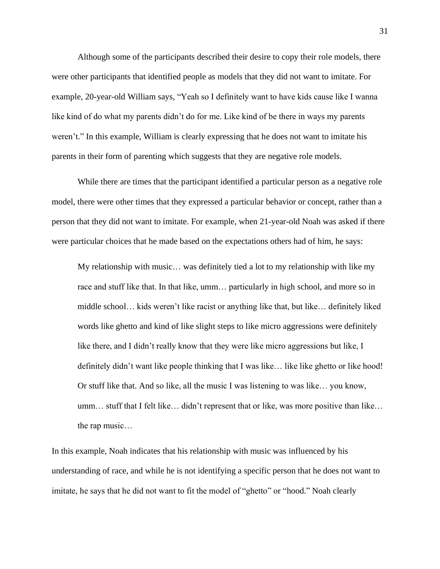Although some of the participants described their desire to copy their role models, there were other participants that identified people as models that they did not want to imitate. For example, 20-year-old William says, "Yeah so I definitely want to have kids cause like I wanna like kind of do what my parents didn't do for me. Like kind of be there in ways my parents weren't." In this example, William is clearly expressing that he does not want to imitate his parents in their form of parenting which suggests that they are negative role models.

While there are times that the participant identified a particular person as a negative role model, there were other times that they expressed a particular behavior or concept, rather than a person that they did not want to imitate. For example, when 21-year-old Noah was asked if there were particular choices that he made based on the expectations others had of him, he says:

 My relationship with music… was definitely tied a lot to my relationship with like my race and stuff like that. In that like, umm… particularly in high school, and more so in middle school… kids weren't like racist or anything like that, but like… definitely liked words like ghetto and kind of like slight steps to like micro aggressions were definitely like there, and I didn't really know that they were like micro aggressions but like, I definitely didn't want like people thinking that I was like... like like ghetto or like hood! Or stuff like that. And so like, all the music I was listening to was like… you know, umm… stuff that I felt like… didn't represent that or like, was more positive than like… the rap music…

In this example, Noah indicates that his relationship with music was influenced by his understanding of race, and while he is not identifying a specific person that he does not want to imitate, he says that he did not want to fit the model of "ghetto" or "hood." Noah clearly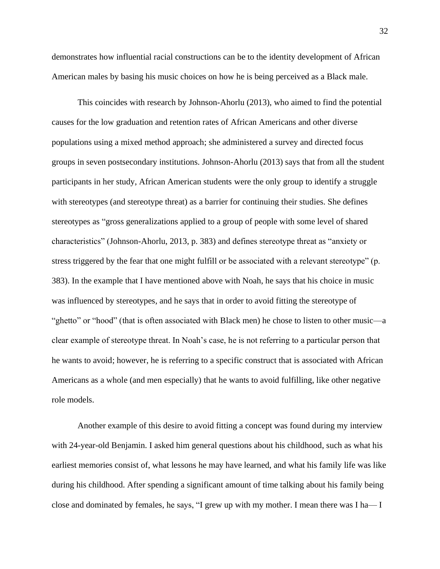demonstrates how influential racial constructions can be to the identity development of African American males by basing his music choices on how he is being perceived as a Black male.

This coincides with research by Johnson-Ahorlu (2013), who aimed to find the potential causes for the low graduation and retention rates of African Americans and other diverse populations using a mixed method approach; she administered a survey and directed focus groups in seven postsecondary institutions. Johnson-Ahorlu (2013) says that from all the student participants in her study, African American students were the only group to identify a struggle with stereotypes (and stereotype threat) as a barrier for continuing their studies. She defines stereotypes as "gross generalizations applied to a group of people with some level of shared characteristics" (Johnson-Ahorlu, 2013, p. 383) and defines stereotype threat as "anxiety or stress triggered by the fear that one might fulfill or be associated with a relevant stereotype" (p. 383). In the example that I have mentioned above with Noah, he says that his choice in music was influenced by stereotypes, and he says that in order to avoid fitting the stereotype of "ghetto" or "hood" (that is often associated with Black men) he chose to listen to other music—a clear example of stereotype threat. In Noah's case, he is not referring to a particular person that he wants to avoid; however, he is referring to a specific construct that is associated with African Americans as a whole (and men especially) that he wants to avoid fulfilling, like other negative role models.

Another example of this desire to avoid fitting a concept was found during my interview with 24-year-old Benjamin. I asked him general questions about his childhood, such as what his earliest memories consist of, what lessons he may have learned, and what his family life was like during his childhood. After spending a significant amount of time talking about his family being close and dominated by females, he says, "I grew up with my mother. I mean there was I ha— I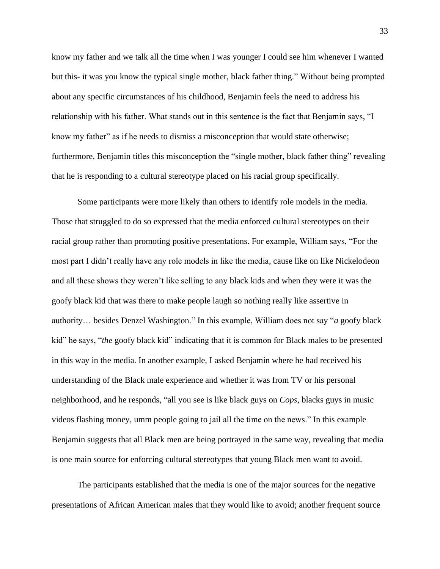know my father and we talk all the time when I was younger I could see him whenever I wanted but this- it was you know the typical single mother, black father thing." Without being prompted about any specific circumstances of his childhood, Benjamin feels the need to address his relationship with his father. What stands out in this sentence is the fact that Benjamin says, "I know my father" as if he needs to dismiss a misconception that would state otherwise; furthermore, Benjamin titles this misconception the "single mother, black father thing" revealing that he is responding to a cultural stereotype placed on his racial group specifically.

Some participants were more likely than others to identify role models in the media. Those that struggled to do so expressed that the media enforced cultural stereotypes on their racial group rather than promoting positive presentations. For example, William says, "For the most part I didn't really have any role models in like the media, cause like on like Nickelodeon and all these shows they weren't like selling to any black kids and when they were it was the goofy black kid that was there to make people laugh so nothing really like assertive in authority… besides Denzel Washington." In this example, William does not say "*a* goofy black kid" he says, "*the* goofy black kid" indicating that it is common for Black males to be presented in this way in the media. In another example, I asked Benjamin where he had received his understanding of the Black male experience and whether it was from TV or his personal neighborhood, and he responds, "all you see is like black guys on *Cops*, blacks guys in music videos flashing money, umm people going to jail all the time on the news." In this example Benjamin suggests that all Black men are being portrayed in the same way, revealing that media is one main source for enforcing cultural stereotypes that young Black men want to avoid.

The participants established that the media is one of the major sources for the negative presentations of African American males that they would like to avoid; another frequent source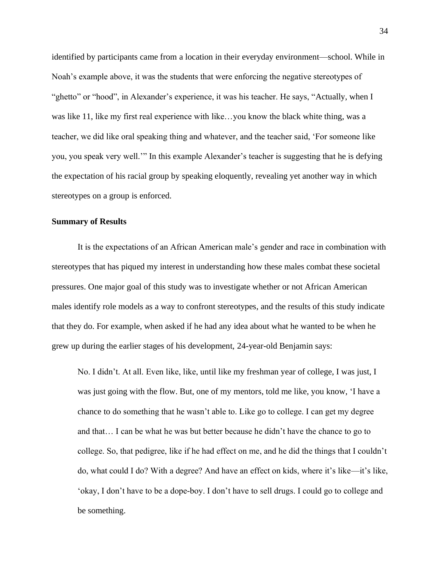identified by participants came from a location in their everyday environment—school. While in Noah's example above, it was the students that were enforcing the negative stereotypes of "ghetto" or "hood", in Alexander's experience, it was his teacher. He says, "Actually, when I was like 11, like my first real experience with like…you know the black white thing, was a teacher, we did like oral speaking thing and whatever, and the teacher said, 'For someone like you, you speak very well.'" In this example Alexander's teacher is suggesting that he is defying the expectation of his racial group by speaking eloquently, revealing yet another way in which stereotypes on a group is enforced.

#### **Summary of Results**

It is the expectations of an African American male's gender and race in combination with stereotypes that has piqued my interest in understanding how these males combat these societal pressures. One major goal of this study was to investigate whether or not African American males identify role models as a way to confront stereotypes, and the results of this study indicate that they do. For example, when asked if he had any idea about what he wanted to be when he grew up during the earlier stages of his development, 24-year-old Benjamin says:

 No. I didn't. At all. Even like, like, until like my freshman year of college, I was just, I was just going with the flow. But, one of my mentors, told me like, you know, 'I have a chance to do something that he wasn't able to. Like go to college. I can get my degree and that… I can be what he was but better because he didn't have the chance to go to college. So, that pedigree, like if he had effect on me, and he did the things that I couldn't do, what could I do? With a degree? And have an effect on kids, where it's like—it's like, 'okay, I don't have to be a dope-boy. I don't have to sell drugs. I could go to college and be something.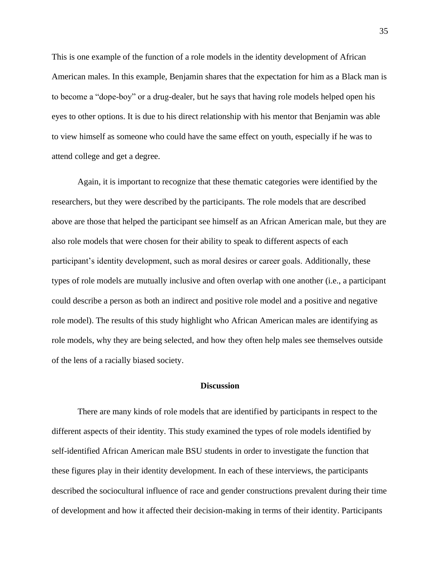This is one example of the function of a role models in the identity development of African American males. In this example, Benjamin shares that the expectation for him as a Black man is to become a "dope-boy" or a drug-dealer, but he says that having role models helped open his eyes to other options. It is due to his direct relationship with his mentor that Benjamin was able to view himself as someone who could have the same effect on youth, especially if he was to attend college and get a degree.

Again, it is important to recognize that these thematic categories were identified by the researchers, but they were described by the participants. The role models that are described above are those that helped the participant see himself as an African American male, but they are also role models that were chosen for their ability to speak to different aspects of each participant's identity development, such as moral desires or career goals. Additionally, these types of role models are mutually inclusive and often overlap with one another (i.e., a participant could describe a person as both an indirect and positive role model and a positive and negative role model). The results of this study highlight who African American males are identifying as role models, why they are being selected, and how they often help males see themselves outside of the lens of a racially biased society.

#### **Discussion**

There are many kinds of role models that are identified by participants in respect to the different aspects of their identity. This study examined the types of role models identified by self-identified African American male BSU students in order to investigate the function that these figures play in their identity development. In each of these interviews, the participants described the sociocultural influence of race and gender constructions prevalent during their time of development and how it affected their decision-making in terms of their identity. Participants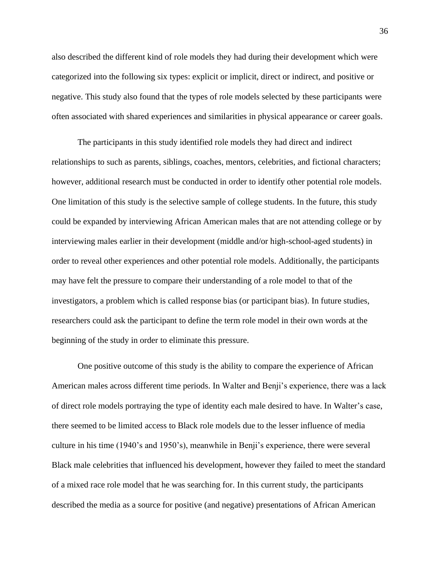also described the different kind of role models they had during their development which were categorized into the following six types: explicit or implicit, direct or indirect, and positive or negative. This study also found that the types of role models selected by these participants were often associated with shared experiences and similarities in physical appearance or career goals.

The participants in this study identified role models they had direct and indirect relationships to such as parents, siblings, coaches, mentors, celebrities, and fictional characters; however, additional research must be conducted in order to identify other potential role models. One limitation of this study is the selective sample of college students. In the future, this study could be expanded by interviewing African American males that are not attending college or by interviewing males earlier in their development (middle and/or high-school-aged students) in order to reveal other experiences and other potential role models. Additionally, the participants may have felt the pressure to compare their understanding of a role model to that of the investigators, a problem which is called response bias (or participant bias). In future studies, researchers could ask the participant to define the term role model in their own words at the beginning of the study in order to eliminate this pressure.

One positive outcome of this study is the ability to compare the experience of African American males across different time periods. In Walter and Benji's experience, there was a lack of direct role models portraying the type of identity each male desired to have. In Walter's case, there seemed to be limited access to Black role models due to the lesser influence of media culture in his time (1940's and 1950's), meanwhile in Benji's experience, there were several Black male celebrities that influenced his development, however they failed to meet the standard of a mixed race role model that he was searching for. In this current study, the participants described the media as a source for positive (and negative) presentations of African American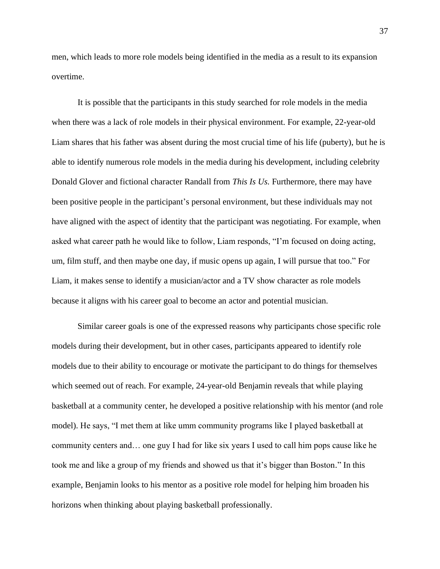men, which leads to more role models being identified in the media as a result to its expansion overtime.

It is possible that the participants in this study searched for role models in the media when there was a lack of role models in their physical environment. For example, 22-year-old Liam shares that his father was absent during the most crucial time of his life (puberty), but he is able to identify numerous role models in the media during his development, including celebrity Donald Glover and fictional character Randall from *This Is Us.* Furthermore, there may have been positive people in the participant's personal environment, but these individuals may not have aligned with the aspect of identity that the participant was negotiating. For example, when asked what career path he would like to follow, Liam responds, "I'm focused on doing acting, um, film stuff, and then maybe one day, if music opens up again, I will pursue that too." For Liam, it makes sense to identify a musician/actor and a TV show character as role models because it aligns with his career goal to become an actor and potential musician.

Similar career goals is one of the expressed reasons why participants chose specific role models during their development, but in other cases, participants appeared to identify role models due to their ability to encourage or motivate the participant to do things for themselves which seemed out of reach. For example, 24-year-old Benjamin reveals that while playing basketball at a community center, he developed a positive relationship with his mentor (and role model). He says, "I met them at like umm community programs like I played basketball at community centers and… one guy I had for like six years I used to call him pops cause like he took me and like a group of my friends and showed us that it's bigger than Boston." In this example, Benjamin looks to his mentor as a positive role model for helping him broaden his horizons when thinking about playing basketball professionally.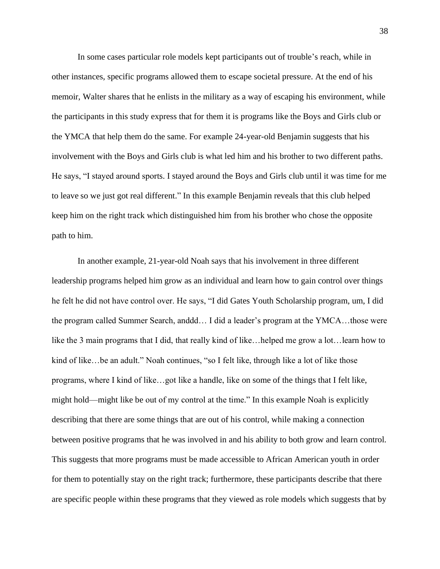In some cases particular role models kept participants out of trouble's reach, while in other instances, specific programs allowed them to escape societal pressure. At the end of his memoir, Walter shares that he enlists in the military as a way of escaping his environment, while the participants in this study express that for them it is programs like the Boys and Girls club or the YMCA that help them do the same. For example 24-year-old Benjamin suggests that his involvement with the Boys and Girls club is what led him and his brother to two different paths. He says, "I stayed around sports. I stayed around the Boys and Girls club until it was time for me to leave so we just got real different." In this example Benjamin reveals that this club helped keep him on the right track which distinguished him from his brother who chose the opposite path to him.

In another example, 21-year-old Noah says that his involvement in three different leadership programs helped him grow as an individual and learn how to gain control over things he felt he did not have control over. He says, "I did Gates Youth Scholarship program, um, I did the program called Summer Search, anddd… I did a leader's program at the YMCA…those were like the 3 main programs that I did, that really kind of like…helped me grow a lot…learn how to kind of like…be an adult." Noah continues, "so I felt like, through like a lot of like those programs, where I kind of like…got like a handle, like on some of the things that I felt like, might hold—might like be out of my control at the time." In this example Noah is explicitly describing that there are some things that are out of his control, while making a connection between positive programs that he was involved in and his ability to both grow and learn control. This suggests that more programs must be made accessible to African American youth in order for them to potentially stay on the right track; furthermore, these participants describe that there are specific people within these programs that they viewed as role models which suggests that by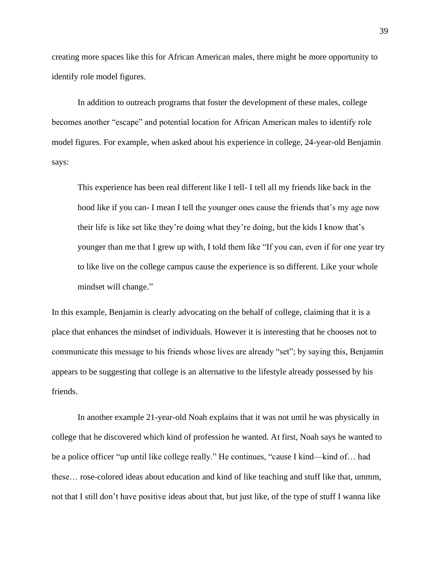creating more spaces like this for African American males, there might be more opportunity to identify role model figures.

In addition to outreach programs that foster the development of these males, college becomes another "escape" and potential location for African American males to identify role model figures. For example, when asked about his experience in college, 24-year-old Benjamin says:

 This experience has been real different like I tell- I tell all my friends like back in the hood like if you can- I mean I tell the younger ones cause the friends that's my age now their life is like set like they're doing what they're doing, but the kids I know that's younger than me that I grew up with, I told them like "If you can, even if for one year try to like live on the college campus cause the experience is so different. Like your whole mindset will change."

In this example, Benjamin is clearly advocating on the behalf of college, claiming that it is a place that enhances the mindset of individuals. However it is interesting that he chooses not to communicate this message to his friends whose lives are already "set"; by saying this, Benjamin appears to be suggesting that college is an alternative to the lifestyle already possessed by his friends.

In another example 21-year-old Noah explains that it was not until he was physically in college that he discovered which kind of profession he wanted. At first, Noah says he wanted to be a police officer "up until like college really." He continues, "cause I kind—kind of… had these… rose-colored ideas about education and kind of like teaching and stuff like that, ummm, not that I still don't have positive ideas about that, but just like, of the type of stuff I wanna like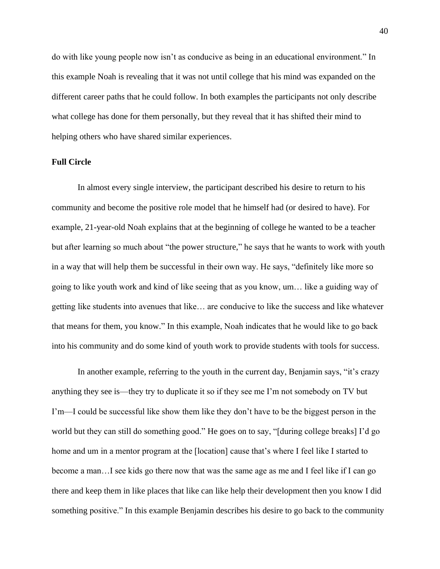do with like young people now isn't as conducive as being in an educational environment." In this example Noah is revealing that it was not until college that his mind was expanded on the different career paths that he could follow. In both examples the participants not only describe what college has done for them personally, but they reveal that it has shifted their mind to helping others who have shared similar experiences.

## **Full Circle**

In almost every single interview, the participant described his desire to return to his community and become the positive role model that he himself had (or desired to have). For example, 21-year-old Noah explains that at the beginning of college he wanted to be a teacher but after learning so much about "the power structure," he says that he wants to work with youth in a way that will help them be successful in their own way. He says, "definitely like more so going to like youth work and kind of like seeing that as you know, um… like a guiding way of getting like students into avenues that like… are conducive to like the success and like whatever that means for them, you know." In this example, Noah indicates that he would like to go back into his community and do some kind of youth work to provide students with tools for success.

In another example, referring to the youth in the current day, Benjamin says, "it's crazy anything they see is—they try to duplicate it so if they see me I'm not somebody on TV but I'm—I could be successful like show them like they don't have to be the biggest person in the world but they can still do something good." He goes on to say, "[during college breaks] I'd go home and um in a mentor program at the [location] cause that's where I feel like I started to become a man…I see kids go there now that was the same age as me and I feel like if I can go there and keep them in like places that like can like help their development then you know I did something positive." In this example Benjamin describes his desire to go back to the community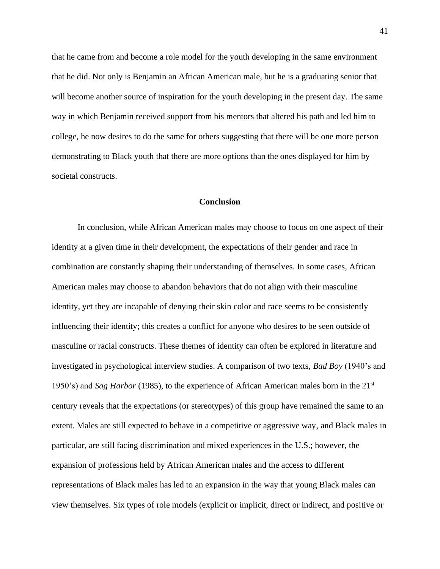that he came from and become a role model for the youth developing in the same environment that he did. Not only is Benjamin an African American male, but he is a graduating senior that will become another source of inspiration for the youth developing in the present day. The same way in which Benjamin received support from his mentors that altered his path and led him to college, he now desires to do the same for others suggesting that there will be one more person demonstrating to Black youth that there are more options than the ones displayed for him by societal constructs.

### **Conclusion**

In conclusion, while African American males may choose to focus on one aspect of their identity at a given time in their development, the expectations of their gender and race in combination are constantly shaping their understanding of themselves. In some cases, African American males may choose to abandon behaviors that do not align with their masculine identity, yet they are incapable of denying their skin color and race seems to be consistently influencing their identity; this creates a conflict for anyone who desires to be seen outside of masculine or racial constructs. These themes of identity can often be explored in literature and investigated in psychological interview studies. A comparison of two texts, *Bad Boy* (1940's and 1950's) and *Sag Harbor* (1985), to the experience of African American males born in the 21st century reveals that the expectations (or stereotypes) of this group have remained the same to an extent. Males are still expected to behave in a competitive or aggressive way, and Black males in particular, are still facing discrimination and mixed experiences in the U.S.; however, the expansion of professions held by African American males and the access to different representations of Black males has led to an expansion in the way that young Black males can view themselves. Six types of role models (explicit or implicit, direct or indirect, and positive or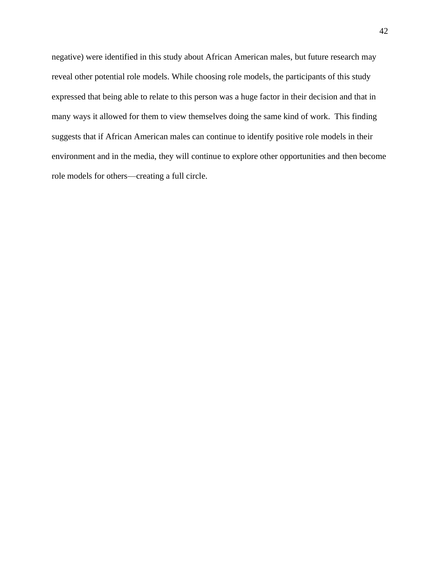negative) were identified in this study about African American males, but future research may reveal other potential role models. While choosing role models, the participants of this study expressed that being able to relate to this person was a huge factor in their decision and that in many ways it allowed for them to view themselves doing the same kind of work. This finding suggests that if African American males can continue to identify positive role models in their environment and in the media, they will continue to explore other opportunities and then become role models for others—creating a full circle.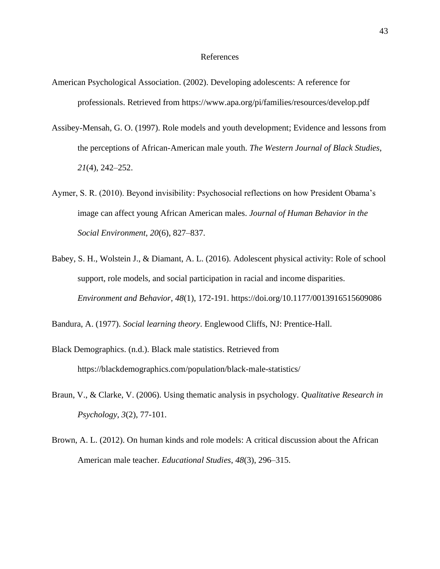#### References

- American Psychological Association. (2002). Developing adolescents: A reference for professionals. Retrieved from https://www.apa.org/pi/families/resources/develop.pdf
- Assibey-Mensah, G. O. (1997). Role models and youth development; Evidence and lessons from the perceptions of African-American male youth. *The Western Journal of Black Studies*, *21*(4), 242–252.
- Aymer, S. R. (2010). Beyond invisibility: Psychosocial reflections on how President Obama's image can affect young African American males. *Journal of Human Behavior in the Social Environment*, *20*(6), 827–837.
- Babey, S. H., Wolstein J., & Diamant, A. L. (2016). Adolescent physical activity: Role of school support, role models, and social participation in racial and income disparities. *Environment and Behavior*, *48*(1), 172-191. https://doi.org/10.1177/0013916515609086

Bandura, A. (1977). *Social learning theory*. Englewood Cliffs, NJ: Prentice-Hall.

- Black Demographics. (n.d.). Black male statistics. Retrieved from https://blackdemographics.com/population/black-male-statistics/
- Braun, V., & Clarke, V. (2006). Using thematic analysis in psychology. *Qualitative Research in Psychology*, *3*(2), 77-101.
- Brown, A. L. (2012). On human kinds and role models: A critical discussion about the African American male teacher. *Educational Studies*, *48*(3), 296–315.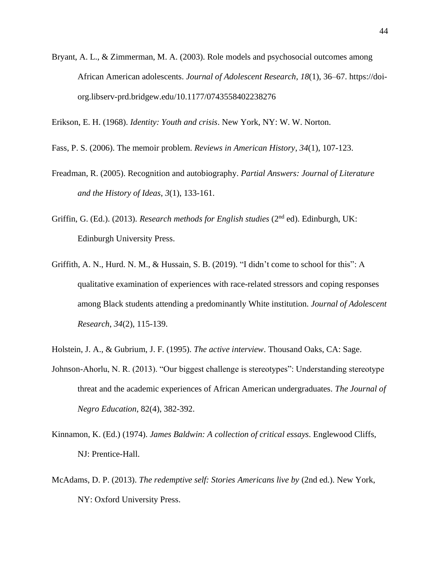Bryant, A. L., & Zimmerman, M. A. (2003). Role models and psychosocial outcomes among African American adolescents. *Journal of Adolescent Research*, *18*(1), 36–67. https://doiorg.libserv-prd.bridgew.edu/10.1177/0743558402238276

Erikson, E. H. (1968). *Identity: Youth and crisis*. New York, NY: W. W. Norton.

- Fass, P. S. (2006). The memoir problem. *Reviews in American History*, *34*(1), 107-123.
- Freadman, R. (2005). Recognition and autobiography. *Partial Answers: Journal of Literature and the History of Ideas*, *3*(1), 133-161.
- Griffin, G. (Ed.). (2013). *Research methods for English studies* (2<sup>nd</sup> ed). Edinburgh, UK: Edinburgh University Press.
- Griffith, A. N., Hurd. N. M., & Hussain, S. B. (2019). "I didn't come to school for this": A qualitative examination of experiences with race-related stressors and coping responses among Black students attending a predominantly White institution. *Journal of Adolescent Research*, *34*(2), 115-139.

Holstein, J. A., & Gubrium, J. F. (1995). *The active interview*. Thousand Oaks, CA: Sage.

- Johnson-Ahorlu, N. R. (2013). "Our biggest challenge is stereotypes": Understanding stereotype threat and the academic experiences of African American undergraduates. *The Journal of Negro Education*, 82(4), 382-392.
- Kinnamon, K. (Ed.) (1974). *James Baldwin: A collection of critical essays*. Englewood Cliffs, NJ: Prentice-Hall.
- McAdams, D. P. (2013). *The redemptive self: Stories Americans live by* (2nd ed.). New York, NY: Oxford University Press.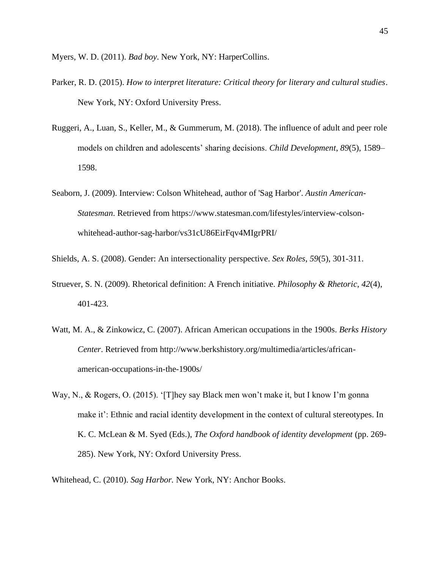Myers, W. D. (2011). *Bad boy*. New York, NY: HarperCollins.

- Parker, R. D. (2015). *How to interpret literature: Critical theory for literary and cultural studies*. New York, NY: Oxford University Press.
- Ruggeri, A., Luan, S., Keller, M., & Gummerum, M. (2018). The influence of adult and peer role models on children and adolescents' sharing decisions. *Child Development*, *89*(5), 1589– 1598.
- Seaborn, J. (2009). Interview: Colson Whitehead, author of 'Sag Harbor'. *Austin American-Statesman*. Retrieved from https://www.statesman.com/lifestyles/interview-colsonwhitehead-author-sag-harbor/vs31cU86EirFqv4MIgrPRI/

Shields, A. S. (2008). Gender: An intersectionality perspective. *Sex Roles*, *59*(5), 301-311.

- Struever, S. N. (2009). Rhetorical definition: A French initiative. *Philosophy & Rhetoric*, *42*(4), 401-423.
- Watt, M. A., & Zinkowicz, C. (2007). African American occupations in the 1900s. *Berks History Center*. Retrieved from http://www.berkshistory.org/multimedia/articles/africanamerican-occupations-in-the-1900s/
- Way, N., & Rogers, O. (2015). '[T]hey say Black men won't make it, but I know I'm gonna make it': Ethnic and racial identity development in the context of cultural stereotypes. In K. C. McLean & M. Syed (Eds.), *The Oxford handbook of identity development* (pp. 269- 285). New York, NY: Oxford University Press.
- Whitehead, C. (2010). *Sag Harbor.* New York, NY: Anchor Books.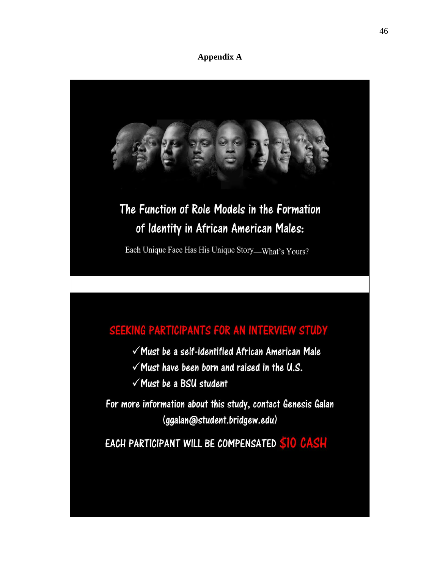## **Appendix A**

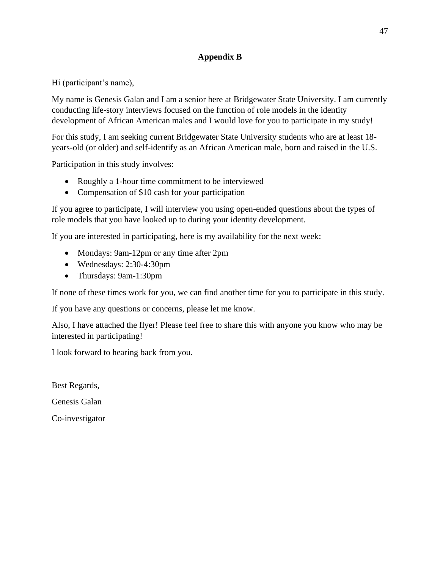# **Appendix B**

Hi (participant's name),

My name is Genesis Galan and I am a senior here at Bridgewater State University. I am currently conducting life-story interviews focused on the function of role models in the identity development of African American males and I would love for you to participate in my study!

For this study, I am seeking current Bridgewater State University students who are at least 18 years-old (or older) and self-identify as an African American male, born and raised in the U.S.

Participation in this study involves:

- Roughly a 1-hour time commitment to be interviewed
- Compensation of \$10 cash for your participation

If you agree to participate, I will interview you using open-ended questions about the types of role models that you have looked up to during your identity development.

If you are interested in participating, here is my availability for the next week:

- Mondays: 9am-12pm or any time after 2pm
- Wednesdays: 2:30-4:30pm
- Thursdays: 9am-1:30pm

If none of these times work for you, we can find another time for you to participate in this study.

If you have any questions or concerns, please let me know.

Also, I have attached the flyer! Please feel free to share this with anyone you know who may be interested in participating!

I look forward to hearing back from you.

Best Regards,

Genesis Galan

Co-investigator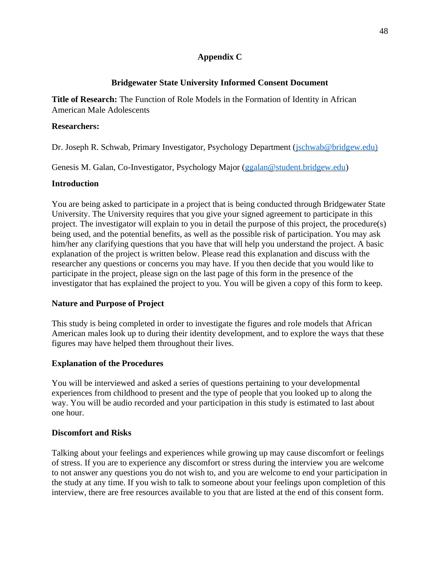## **Appendix C**

# **Bridgewater State University Informed Consent Document**

**Title of Research:** The Function of Role Models in the Formation of Identity in African American Male Adolescents

## **Researchers:**

Dr. Joseph R. Schwab, Primary Investigator, Psychology Department [\(jschwab@bridgew.edu\)](mailto:jschwab@bridgew.edu))

Genesis M. Galan, Co-Investigator, Psychology Major [\(ggalan@student.bridgew.edu\)](mailto:ggalan@student.bridgew.edu)

## **Introduction**

You are being asked to participate in a project that is being conducted through Bridgewater State University. The University requires that you give your signed agreement to participate in this project. The investigator will explain to you in detail the purpose of this project, the procedure(s) being used, and the potential benefits, as well as the possible risk of participation. You may ask him/her any clarifying questions that you have that will help you understand the project. A basic explanation of the project is written below. Please read this explanation and discuss with the researcher any questions or concerns you may have. If you then decide that you would like to participate in the project, please sign on the last page of this form in the presence of the investigator that has explained the project to you. You will be given a copy of this form to keep.

## **Nature and Purpose of Project**

This study is being completed in order to investigate the figures and role models that African American males look up to during their identity development, and to explore the ways that these figures may have helped them throughout their lives.

# **Explanation of the Procedures**

You will be interviewed and asked a series of questions pertaining to your developmental experiences from childhood to present and the type of people that you looked up to along the way. You will be audio recorded and your participation in this study is estimated to last about one hour.

## **Discomfort and Risks**

Talking about your feelings and experiences while growing up may cause discomfort or feelings of stress. If you are to experience any discomfort or stress during the interview you are welcome to not answer any questions you do not wish to, and you are welcome to end your participation in the study at any time. If you wish to talk to someone about your feelings upon completion of this interview, there are free resources available to you that are listed at the end of this consent form.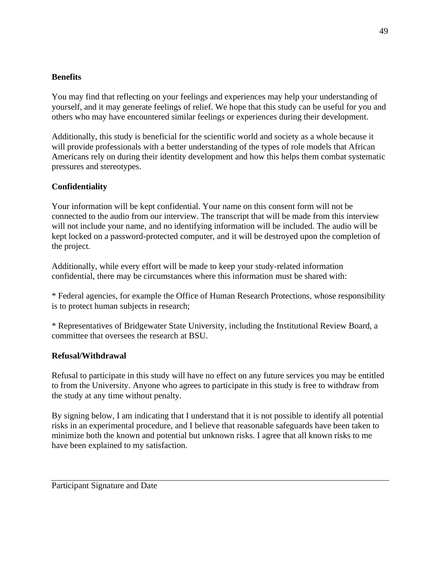## **Benefits**

You may find that reflecting on your feelings and experiences may help your understanding of yourself, and it may generate feelings of relief. We hope that this study can be useful for you and others who may have encountered similar feelings or experiences during their development.

Additionally, this study is beneficial for the scientific world and society as a whole because it will provide professionals with a better understanding of the types of role models that African Americans rely on during their identity development and how this helps them combat systematic pressures and stereotypes.

# **Confidentiality**

Your information will be kept confidential. Your name on this consent form will not be connected to the audio from our interview. The transcript that will be made from this interview will not include your name, and no identifying information will be included. The audio will be kept locked on a password-protected computer, and it will be destroyed upon the completion of the project.

Additionally, while every effort will be made to keep your study-related information confidential, there may be circumstances where this information must be shared with:

\* Federal agencies, for example the Office of Human Research Protections, whose responsibility is to protect human subjects in research;

\* Representatives of Bridgewater State University, including the Institutional Review Board, a committee that oversees the research at BSU.

## **Refusal/Withdrawal**

Refusal to participate in this study will have no effect on any future services you may be entitled to from the University. Anyone who agrees to participate in this study is free to withdraw from the study at any time without penalty.

By signing below, I am indicating that I understand that it is not possible to identify all potential risks in an experimental procedure, and I believe that reasonable safeguards have been taken to minimize both the known and potential but unknown risks. I agree that all known risks to me have been explained to my satisfaction.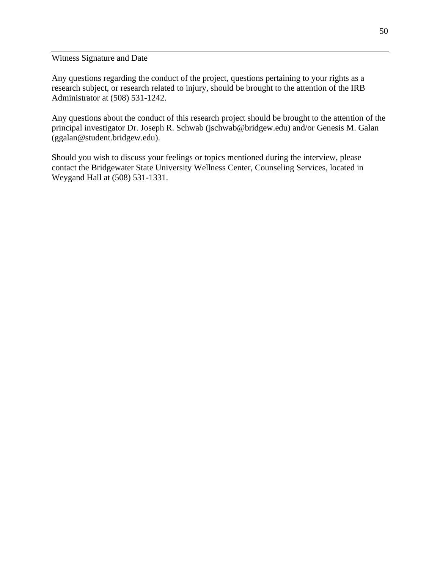Witness Signature and Date

Any questions regarding the conduct of the project, questions pertaining to your rights as a research subject, or research related to injury, should be brought to the attention of the IRB Administrator at (508) 531-1242.

Any questions about the conduct of this research project should be brought to the attention of the principal investigator Dr. Joseph R. Schwab (jschwab@bridgew.edu) and/or Genesis M. Galan (ggalan@student.bridgew.edu).

Should you wish to discuss your feelings or topics mentioned during the interview, please contact the Bridgewater State University Wellness Center, Counseling Services, located in Weygand Hall at (508) 531-1331.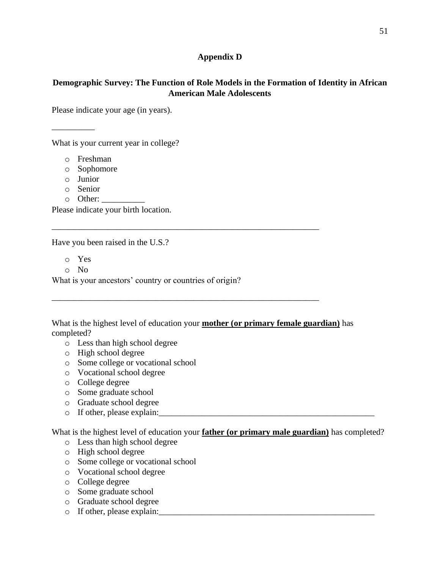## **Appendix D**

## **Demographic Survey: The Function of Role Models in the Formation of Identity in African American Male Adolescents**

Please indicate your age (in years).

What is your current year in college?

o Freshman

- o Sophomore
- o Junior

\_\_\_\_\_\_\_\_\_\_

- o Senior
- $\circ$  Other:

Please indicate your birth location.

Have you been raised in the U.S.?

- o Yes
- o No

What is your ancestors' country or countries of origin?

What is the highest level of education your **mother (or primary female guardian)** has completed?

\_\_\_\_\_\_\_\_\_\_\_\_\_\_\_\_\_\_\_\_\_\_\_\_\_\_\_\_\_\_\_\_\_\_\_\_\_\_\_\_\_\_\_\_\_\_\_\_\_\_\_\_\_\_\_\_\_\_\_\_\_\_

\_\_\_\_\_\_\_\_\_\_\_\_\_\_\_\_\_\_\_\_\_\_\_\_\_\_\_\_\_\_\_\_\_\_\_\_\_\_\_\_\_\_\_\_\_\_\_\_\_\_\_\_\_\_\_\_\_\_\_\_\_\_

- o Less than high school degree
- o High school degree
- o Some college or vocational school
- o Vocational school degree
- o College degree
- o Some graduate school
- o Graduate school degree
- $\circ$  If other, please explain:

What is the highest level of education your **father (or primary male guardian)** has completed?

- o Less than high school degree
- o High school degree
- o Some college or vocational school
- o Vocational school degree
- o College degree
- o Some graduate school
- o Graduate school degree
- $\circ$  If other, please explain: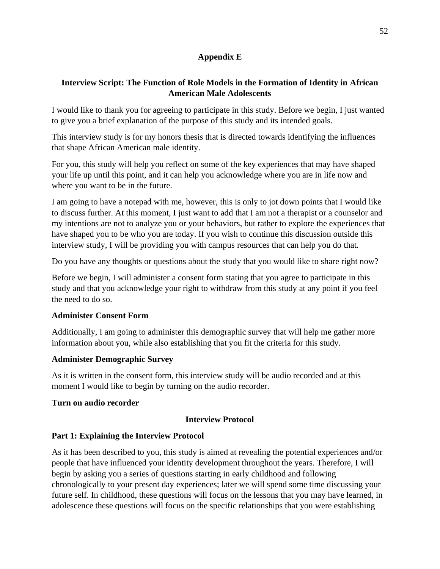## **Appendix E**

# **Interview Script: The Function of Role Models in the Formation of Identity in African American Male Adolescents**

I would like to thank you for agreeing to participate in this study. Before we begin, I just wanted to give you a brief explanation of the purpose of this study and its intended goals.

This interview study is for my honors thesis that is directed towards identifying the influences that shape African American male identity.

For you, this study will help you reflect on some of the key experiences that may have shaped your life up until this point, and it can help you acknowledge where you are in life now and where you want to be in the future.

I am going to have a notepad with me, however, this is only to jot down points that I would like to discuss further. At this moment, I just want to add that I am not a therapist or a counselor and my intentions are not to analyze you or your behaviors, but rather to explore the experiences that have shaped you to be who you are today. If you wish to continue this discussion outside this interview study, I will be providing you with campus resources that can help you do that.

Do you have any thoughts or questions about the study that you would like to share right now?

Before we begin, I will administer a consent form stating that you agree to participate in this study and that you acknowledge your right to withdraw from this study at any point if you feel the need to do so.

## **Administer Consent Form**

Additionally, I am going to administer this demographic survey that will help me gather more information about you, while also establishing that you fit the criteria for this study.

# **Administer Demographic Survey**

As it is written in the consent form, this interview study will be audio recorded and at this moment I would like to begin by turning on the audio recorder.

## **Turn on audio recorder**

## **Interview Protocol**

# **Part 1: Explaining the Interview Protocol**

As it has been described to you, this study is aimed at revealing the potential experiences and/or people that have influenced your identity development throughout the years. Therefore, I will begin by asking you a series of questions starting in early childhood and following chronologically to your present day experiences; later we will spend some time discussing your future self. In childhood, these questions will focus on the lessons that you may have learned, in adolescence these questions will focus on the specific relationships that you were establishing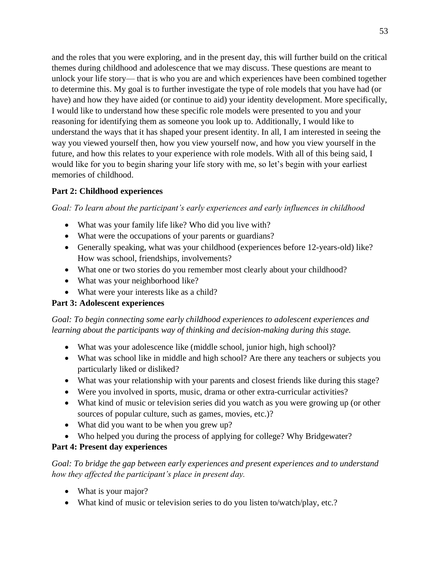and the roles that you were exploring, and in the present day, this will further build on the critical themes during childhood and adolescence that we may discuss. These questions are meant to unlock your life story— that is who you are and which experiences have been combined together to determine this. My goal is to further investigate the type of role models that you have had (or have) and how they have aided (or continue to aid) your identity development. More specifically, I would like to understand how these specific role models were presented to you and your reasoning for identifying them as someone you look up to. Additionally, I would like to understand the ways that it has shaped your present identity. In all, I am interested in seeing the way you viewed yourself then, how you view yourself now, and how you view yourself in the future, and how this relates to your experience with role models. With all of this being said, I would like for you to begin sharing your life story with me, so let's begin with your earliest memories of childhood.

# **Part 2: Childhood experiences**

# *Goal: To learn about the participant's early experiences and early influences in childhood*

- What was your family life like? Who did you live with?
- What were the occupations of your parents or guardians?
- Generally speaking, what was your childhood (experiences before 12-years-old) like? How was school, friendships, involvements?
- What one or two stories do you remember most clearly about your childhood?
- What was your neighborhood like?
- What were your interests like as a child?

# **Part 3: Adolescent experiences**

# *Goal: To begin connecting some early childhood experiences to adolescent experiences and learning about the participants way of thinking and decision-making during this stage.*

- What was your adolescence like (middle school, junior high, high school)?
- What was school like in middle and high school? Are there any teachers or subjects you particularly liked or disliked?
- What was your relationship with your parents and closest friends like during this stage?
- Were you involved in sports, music, drama or other extra-curricular activities?
- What kind of music or television series did you watch as you were growing up (or other sources of popular culture, such as games, movies, etc.)?
- What did you want to be when you grew up?
- Who helped you during the process of applying for college? Why Bridgewater?

## **Part 4: Present day experiences**

*Goal: To bridge the gap between early experiences and present experiences and to understand how they affected the participant's place in present day.* 

- What is your major?
- What kind of music or television series to do you listen to/watch/play, etc.?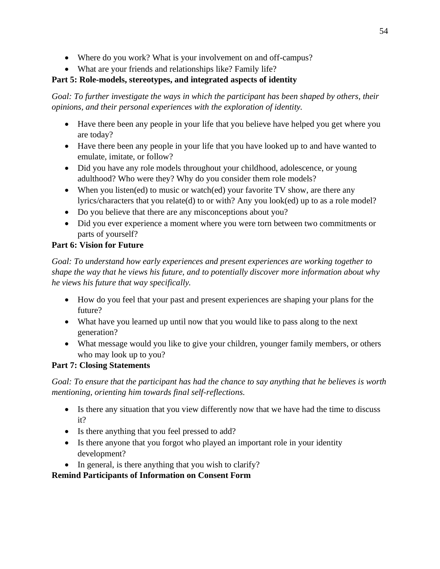- Where do you work? What is your involvement on and off-campus?
- What are your friends and relationships like? Family life?

# **Part 5: Role-models, stereotypes, and integrated aspects of identity**

*Goal: To further investigate the ways in which the participant has been shaped by others, their opinions, and their personal experiences with the exploration of identity.* 

- Have there been any people in your life that you believe have helped you get where you are today?
- Have there been any people in your life that you have looked up to and have wanted to emulate, imitate, or follow?
- Did you have any role models throughout your childhood, adolescence, or young adulthood? Who were they? Why do you consider them role models?
- When you listen(ed) to music or watch(ed) your favorite TV show, are there any lyrics/characters that you relate(d) to or with? Any you look(ed) up to as a role model?
- Do you believe that there are any misconceptions about you?
- Did you ever experience a moment where you were torn between two commitments or parts of yourself?

# **Part 6: Vision for Future**

*Goal: To understand how early experiences and present experiences are working together to shape the way that he views his future, and to potentially discover more information about why he views his future that way specifically.*

- How do you feel that your past and present experiences are shaping your plans for the future?
- What have you learned up until now that you would like to pass along to the next generation?
- What message would you like to give your children, younger family members, or others who may look up to you?

# **Part 7: Closing Statements**

*Goal: To ensure that the participant has had the chance to say anything that he believes is worth mentioning, orienting him towards final self-reflections.* 

- Is there any situation that you view differently now that we have had the time to discuss it?
- Is there anything that you feel pressed to add?
- Is there anyone that you forgot who played an important role in your identity development?
- In general, is there anything that you wish to clarify?

# **Remind Participants of Information on Consent Form**